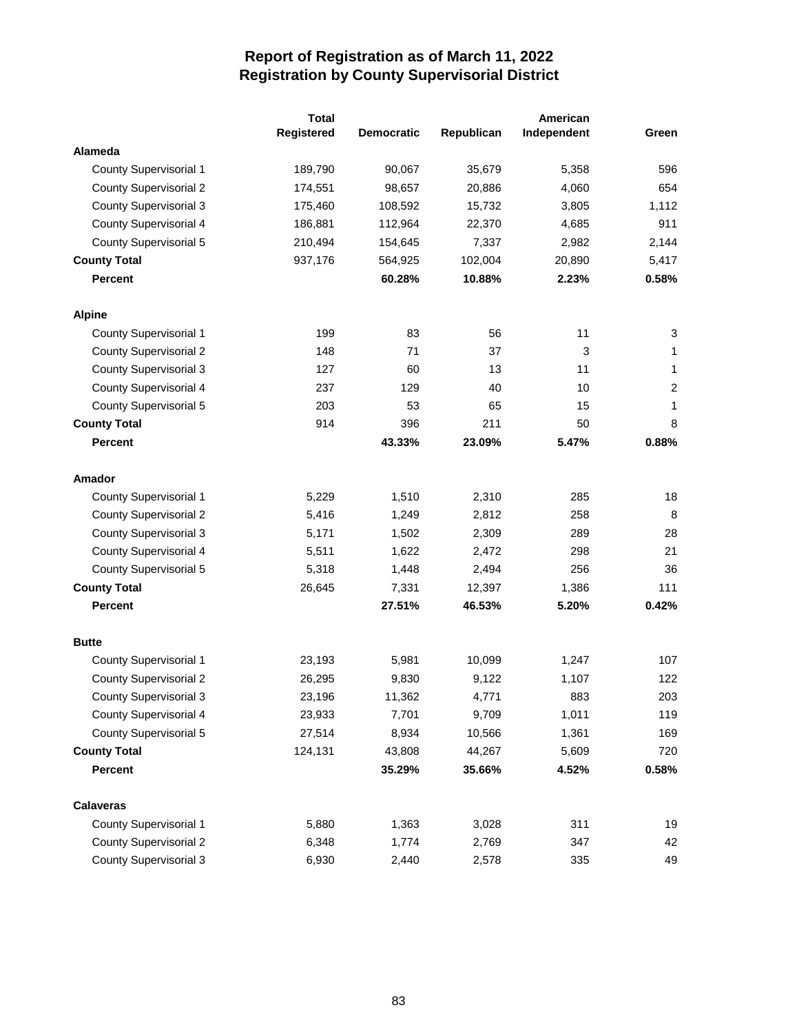|                               | <b>Total</b> |                   |            | American    |                |
|-------------------------------|--------------|-------------------|------------|-------------|----------------|
|                               | Registered   | <b>Democratic</b> | Republican | Independent | Green          |
| Alameda                       |              |                   |            |             |                |
| County Supervisorial 1        | 189,790      | 90,067            | 35,679     | 5,358       | 596            |
| <b>County Supervisorial 2</b> | 174,551      | 98,657            | 20,886     | 4,060       | 654            |
| <b>County Supervisorial 3</b> | 175,460      | 108,592           | 15,732     | 3,805       | 1,112          |
| County Supervisorial 4        | 186,881      | 112,964           | 22,370     | 4,685       | 911            |
| County Supervisorial 5        | 210,494      | 154,645           | 7,337      | 2,982       | 2,144          |
| <b>County Total</b>           | 937,176      | 564,925           | 102,004    | 20,890      | 5,417          |
| <b>Percent</b>                |              | 60.28%            | 10.88%     | 2.23%       | 0.58%          |
| <b>Alpine</b>                 |              |                   |            |             |                |
| <b>County Supervisorial 1</b> | 199          | 83                | 56         | 11          | 3              |
| <b>County Supervisorial 2</b> | 148          | 71                | 37         | 3           | 1              |
| <b>County Supervisorial 3</b> | 127          | 60                | 13         | 11          | $\mathbf 1$    |
| <b>County Supervisorial 4</b> | 237          | 129               | 40         | 10          | $\overline{c}$ |
| <b>County Supervisorial 5</b> | 203          | 53                | 65         | 15          | $\mathbf{1}$   |
| <b>County Total</b>           | 914          | 396               | 211        | 50          | 8              |
| <b>Percent</b>                |              | 43.33%            | 23.09%     | 5.47%       | 0.88%          |
| Amador                        |              |                   |            |             |                |
| <b>County Supervisorial 1</b> | 5,229        | 1,510             | 2,310      | 285         | 18             |
| <b>County Supervisorial 2</b> | 5,416        | 1,249             | 2,812      | 258         | 8              |
| County Supervisorial 3        | 5,171        | 1,502             | 2,309      | 289         | 28             |
| County Supervisorial 4        | 5,511        | 1,622             | 2,472      | 298         | 21             |
| <b>County Supervisorial 5</b> | 5,318        | 1,448             | 2,494      | 256         | 36             |
| <b>County Total</b>           | 26,645       | 7,331             | 12,397     | 1,386       | 111            |
| <b>Percent</b>                |              | 27.51%            | 46.53%     | 5.20%       | 0.42%          |
| <b>Butte</b>                  |              |                   |            |             |                |
| <b>County Supervisorial 1</b> | 23,193       | 5,981             | 10,099     | 1,247       | 107            |
| <b>County Supervisorial 2</b> | 26,295       | 9,830             | 9,122      | 1,107       | 122            |
| <b>County Supervisorial 3</b> | 23,196       | 11,362            | 4,771      | 883         | 203            |
| County Supervisorial 4        | 23,933       | 7,701             | 9,709      | 1,011       | 119            |
| County Supervisorial 5        | 27,514       | 8,934             | 10,566     | 1,361       | 169            |
| <b>County Total</b>           | 124,131      | 43,808            | 44,267     | 5,609       | 720            |
| <b>Percent</b>                |              | 35.29%            | 35.66%     | 4.52%       | 0.58%          |
| <b>Calaveras</b>              |              |                   |            |             |                |
| <b>County Supervisorial 1</b> | 5,880        | 1,363             | 3,028      | 311         | 19             |
| <b>County Supervisorial 2</b> | 6,348        | 1,774             | 2,769      | 347         | 42             |
| <b>County Supervisorial 3</b> | 6,930        | 2,440             | 2,578      | 335         | 49             |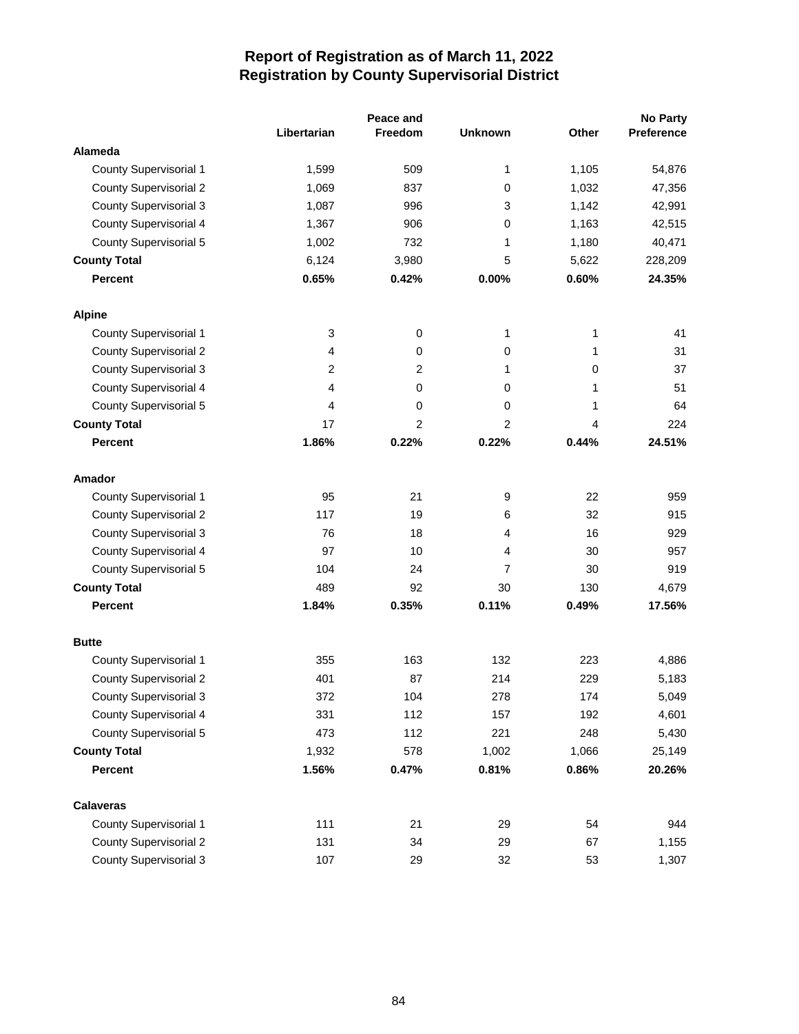|                               |                | Peace and      |                |             | <b>No Party</b> |
|-------------------------------|----------------|----------------|----------------|-------------|-----------------|
|                               | Libertarian    | <b>Freedom</b> | <b>Unknown</b> | Other       | Preference      |
| Alameda                       |                |                |                |             |                 |
| <b>County Supervisorial 1</b> | 1,599          | 509            | 1              | 1,105       | 54,876          |
| <b>County Supervisorial 2</b> | 1,069          | 837            | 0              | 1,032       | 47,356          |
| <b>County Supervisorial 3</b> | 1,087          | 996            | 3              | 1,142       | 42,991          |
| <b>County Supervisorial 4</b> | 1,367          | 906            | 0              | 1,163       | 42,515          |
| <b>County Supervisorial 5</b> | 1,002          | 732            | 1              | 1,180       | 40,471          |
| <b>County Total</b>           | 6,124          | 3,980          | 5              | 5,622       | 228,209         |
| <b>Percent</b>                | 0.65%          | 0.42%          | 0.00%          | 0.60%       | 24.35%          |
| <b>Alpine</b>                 |                |                |                |             |                 |
| County Supervisorial 1        | 3              | 0              | 1              | 1           | 41              |
| <b>County Supervisorial 2</b> | 4              | 0              | 0              | 1           | 31              |
| <b>County Supervisorial 3</b> | $\overline{c}$ | 2              | 1              | $\mathbf 0$ | 37              |
| <b>County Supervisorial 4</b> | 4              | 0              | 0              | 1           | 51              |
| <b>County Supervisorial 5</b> | 4              | 0              | 0              | 1           | 64              |
| <b>County Total</b>           | 17             | 2              | 2              | 4           | 224             |
| <b>Percent</b>                | 1.86%          | 0.22%          | 0.22%          | 0.44%       | 24.51%          |
| Amador                        |                |                |                |             |                 |
| <b>County Supervisorial 1</b> | 95             | 21             | 9              | 22          | 959             |
| <b>County Supervisorial 2</b> | 117            | 19             | 6              | 32          | 915             |
| <b>County Supervisorial 3</b> | 76             | 18             | 4              | 16          | 929             |
| County Supervisorial 4        | 97             | 10             | 4              | 30          | 957             |
| <b>County Supervisorial 5</b> | 104            | 24             | 7              | 30          | 919             |
| <b>County Total</b>           | 489            | 92             | 30             | 130         | 4,679           |
| <b>Percent</b>                | 1.84%          | 0.35%          | 0.11%          | 0.49%       | 17.56%          |
| <b>Butte</b>                  |                |                |                |             |                 |
| County Supervisorial 1        | 355            | 163            | 132            | 223         | 4,886           |
| <b>County Supervisorial 2</b> | 401            | 87             | 214            | 229         | 5,183           |
| <b>County Supervisorial 3</b> | 372            | 104            | 278            | 174         | 5,049           |
| <b>County Supervisorial 4</b> | 331            | 112            | 157            | 192         | 4,601           |
| <b>County Supervisorial 5</b> | 473            | 112            | 221            | 248         | 5,430           |
| <b>County Total</b>           | 1,932          | 578            | 1,002          | 1,066       | 25,149          |
| <b>Percent</b>                | 1.56%          | 0.47%          | 0.81%          | 0.86%       | 20.26%          |
| <b>Calaveras</b>              |                |                |                |             |                 |
| <b>County Supervisorial 1</b> | 111            | 21             | 29             | 54          | 944             |
| <b>County Supervisorial 2</b> | 131            | 34             | 29             | 67          | 1,155           |
| <b>County Supervisorial 3</b> | 107            | 29             | 32             | 53          | 1,307           |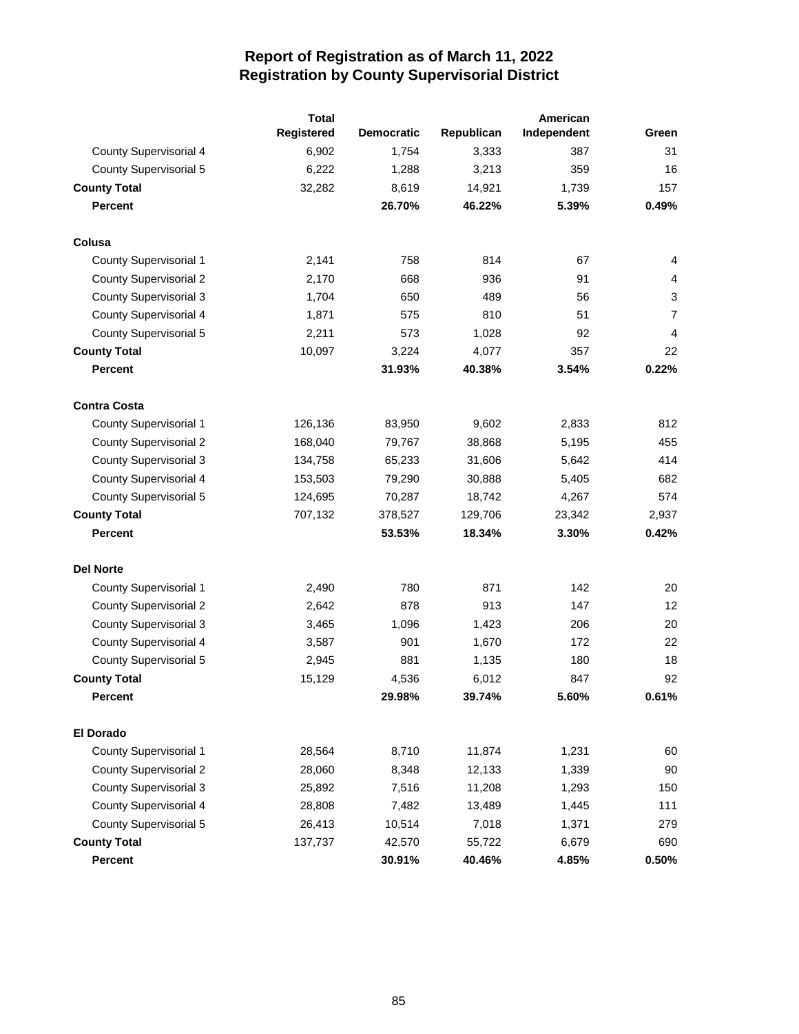|                               | <b>Total</b> |                   |            |             |                |
|-------------------------------|--------------|-------------------|------------|-------------|----------------|
|                               | Registered   | <b>Democratic</b> | Republican | Independent | Green          |
| County Supervisorial 4        | 6,902        | 1,754             | 3,333      | 387         | 31             |
| <b>County Supervisorial 5</b> | 6,222        | 1,288             | 3,213      | 359         | 16             |
| <b>County Total</b>           | 32,282       | 8,619             | 14,921     | 1,739       | 157            |
| <b>Percent</b>                |              | 26.70%            | 46.22%     | 5.39%       | 0.49%          |
| Colusa                        |              |                   |            |             |                |
| <b>County Supervisorial 1</b> | 2,141        | 758               | 814        | 67          | 4              |
| <b>County Supervisorial 2</b> | 2,170        | 668               | 936        | 91          | 4              |
| <b>County Supervisorial 3</b> | 1,704        | 650               | 489        | 56          | 3              |
| County Supervisorial 4        | 1,871        | 575               | 810        | 51          | $\overline{7}$ |
| <b>County Supervisorial 5</b> | 2,211        | 573               | 1,028      | 92          | 4              |
| <b>County Total</b>           | 10,097       | 3,224             | 4,077      | 357         | 22             |
| <b>Percent</b>                |              | 31.93%            | 40.38%     | 3.54%       | 0.22%          |
| <b>Contra Costa</b>           |              |                   |            |             |                |
| <b>County Supervisorial 1</b> | 126,136      | 83,950            | 9,602      | 2,833       | 812            |
| <b>County Supervisorial 2</b> | 168,040      | 79,767            | 38,868     | 5,195       | 455            |
| <b>County Supervisorial 3</b> | 134,758      | 65,233            | 31,606     | 5,642       | 414            |
| <b>County Supervisorial 4</b> | 153,503      | 79,290            | 30,888     | 5,405       | 682            |
| <b>County Supervisorial 5</b> | 124,695      | 70,287            | 18,742     | 4,267       | 574            |
| <b>County Total</b>           | 707,132      | 378,527           | 129,706    | 23,342      | 2,937          |
| <b>Percent</b>                |              | 53.53%            | 18.34%     | 3.30%       | 0.42%          |
| <b>Del Norte</b>              |              |                   |            |             |                |
| <b>County Supervisorial 1</b> | 2,490        | 780               | 871        | 142         | 20             |
| <b>County Supervisorial 2</b> | 2,642        | 878               | 913        | 147         | 12             |
| <b>County Supervisorial 3</b> | 3,465        | 1,096             | 1,423      | 206         | 20             |
| County Supervisorial 4        | 3,587        | 901               | 1,670      | 172         | 22             |
| <b>County Supervisorial 5</b> | 2,945        | 881               | 1,135      | 180         | 18             |
| <b>County Total</b>           | 15,129       | 4,536             | 6,012      | 847         | 92             |
| Percent                       |              | 29.98%            | 39.74%     | 5.60%       | 0.61%          |
| <b>El Dorado</b>              |              |                   |            |             |                |
| <b>County Supervisorial 1</b> | 28,564       | 8,710             | 11,874     | 1,231       | 60             |
| <b>County Supervisorial 2</b> | 28,060       | 8,348             | 12,133     | 1,339       | 90             |
| <b>County Supervisorial 3</b> | 25,892       | 7,516             | 11,208     | 1,293       | 150            |
| <b>County Supervisorial 4</b> | 28,808       | 7,482             | 13,489     | 1,445       | 111            |
| County Supervisorial 5        | 26,413       | 10,514            | 7,018      | 1,371       | 279            |
| <b>County Total</b>           | 137,737      | 42,570            | 55,722     | 6,679       | 690            |
| <b>Percent</b>                |              | 30.91%            | 40.46%     | 4.85%       | 0.50%          |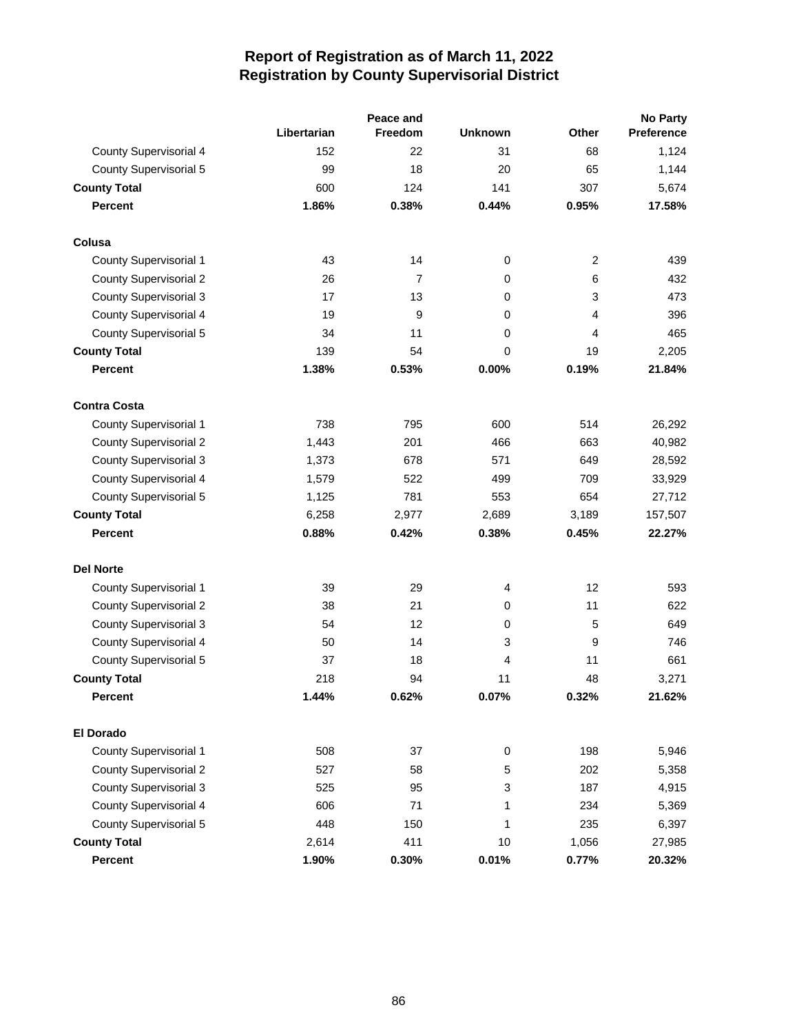|                               |             | Peace and |                | <b>No Party</b> |            |  |
|-------------------------------|-------------|-----------|----------------|-----------------|------------|--|
|                               | Libertarian | Freedom   | <b>Unknown</b> | Other           | Preference |  |
| <b>County Supervisorial 4</b> | 152         | 22        | 31             | 68              | 1,124      |  |
| <b>County Supervisorial 5</b> | 99          | 18        | 20             | 65              | 1,144      |  |
| <b>County Total</b>           | 600         | 124       | 141            | 307             | 5,674      |  |
| <b>Percent</b>                | 1.86%       | 0.38%     | 0.44%          | 0.95%           | 17.58%     |  |
| Colusa                        |             |           |                |                 |            |  |
| <b>County Supervisorial 1</b> | 43          | 14        | $\pmb{0}$      | $\overline{c}$  | 439        |  |
| <b>County Supervisorial 2</b> | 26          | 7         | 0              | 6               | 432        |  |
| <b>County Supervisorial 3</b> | 17          | 13        | 0              | 3               | 473        |  |
| <b>County Supervisorial 4</b> | 19          | 9         | 0              | 4               | 396        |  |
| <b>County Supervisorial 5</b> | 34          | 11        | 0              | 4               | 465        |  |
| <b>County Total</b>           | 139         | 54        | 0              | 19              | 2,205      |  |
| <b>Percent</b>                | 1.38%       | 0.53%     | 0.00%          | 0.19%           | 21.84%     |  |
| <b>Contra Costa</b>           |             |           |                |                 |            |  |
| <b>County Supervisorial 1</b> | 738         | 795       | 600            | 514             | 26,292     |  |
| <b>County Supervisorial 2</b> | 1,443       | 201       | 466            | 663             | 40,982     |  |
| <b>County Supervisorial 3</b> | 1,373       | 678       | 571            | 649             | 28,592     |  |
| <b>County Supervisorial 4</b> | 1,579       | 522       | 499            | 709             | 33,929     |  |
| <b>County Supervisorial 5</b> | 1,125       | 781       | 553            | 654             | 27,712     |  |
| <b>County Total</b>           | 6,258       | 2,977     | 2,689          | 3,189           | 157,507    |  |
| <b>Percent</b>                | 0.88%       | 0.42%     | 0.38%          | 0.45%           | 22.27%     |  |
| <b>Del Norte</b>              |             |           |                |                 |            |  |
| <b>County Supervisorial 1</b> | 39          | 29        | 4              | 12              | 593        |  |
| <b>County Supervisorial 2</b> | 38          | 21        | 0              | 11              | 622        |  |
| <b>County Supervisorial 3</b> | 54          | 12        | 0              | 5               | 649        |  |
| County Supervisorial 4        | 50          | 14        | 3              | 9               | 746        |  |
| <b>County Supervisorial 5</b> | 37          | 18        | 4              | 11              | 661        |  |
| <b>County Total</b>           | 218         | 94        | 11             | 48              | 3,271      |  |
| <b>Percent</b>                | 1.44%       | 0.62%     | 0.07%          | 0.32%           | 21.62%     |  |
| <b>El Dorado</b>              |             |           |                |                 |            |  |
| <b>County Supervisorial 1</b> | 508         | 37        | $\pmb{0}$      | 198             | 5,946      |  |
| <b>County Supervisorial 2</b> | 527         | 58        | 5              | 202             | 5,358      |  |
| <b>County Supervisorial 3</b> | 525         | 95        | 3              | 187             | 4,915      |  |
| County Supervisorial 4        | 606         | 71        | 1              | 234             | 5,369      |  |
| <b>County Supervisorial 5</b> | 448         | 150       | 1              | 235             | 6,397      |  |
| <b>County Total</b>           | 2,614       | 411       | 10             | 1,056           | 27,985     |  |
| Percent                       | 1.90%       | 0.30%     | 0.01%          | 0.77%           | 20.32%     |  |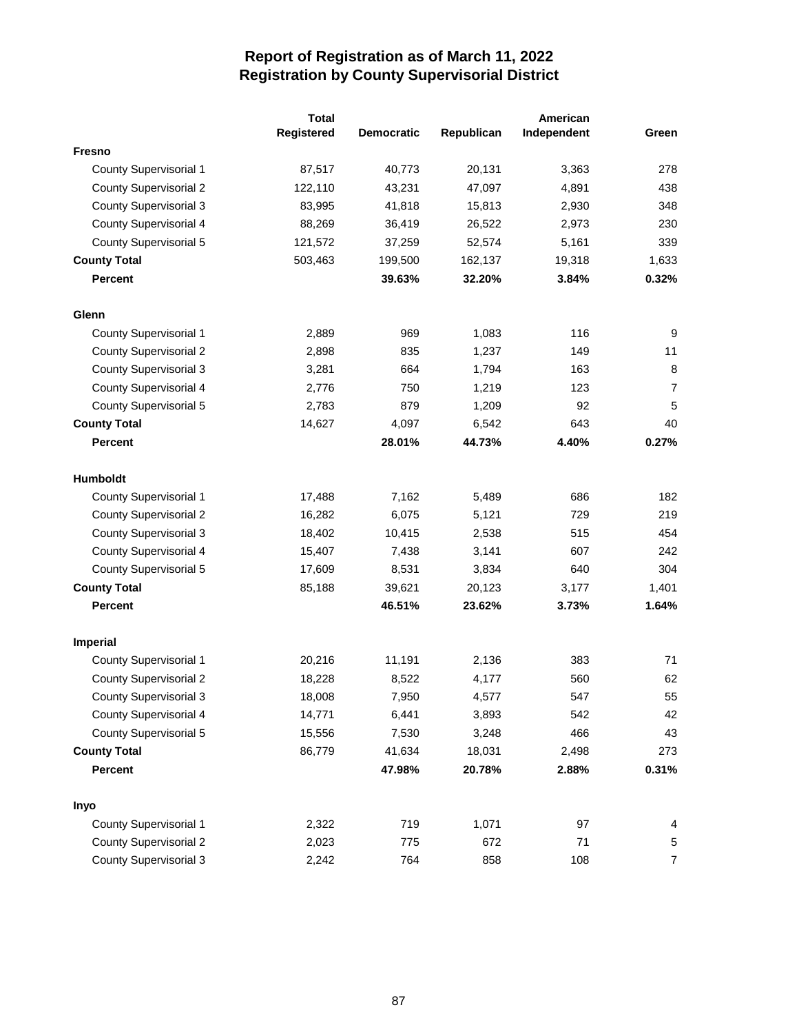|                               | <b>Total</b> |                   |            | American    |       |
|-------------------------------|--------------|-------------------|------------|-------------|-------|
|                               | Registered   | <b>Democratic</b> | Republican | Independent | Green |
| Fresno                        |              |                   |            |             |       |
| County Supervisorial 1        | 87,517       | 40,773            | 20,131     | 3,363       | 278   |
| <b>County Supervisorial 2</b> | 122,110      | 43,231            | 47,097     | 4,891       | 438   |
| <b>County Supervisorial 3</b> | 83,995       | 41,818            | 15,813     | 2,930       | 348   |
| County Supervisorial 4        | 88,269       | 36,419            | 26,522     | 2,973       | 230   |
| <b>County Supervisorial 5</b> | 121,572      | 37,259            | 52,574     | 5,161       | 339   |
| <b>County Total</b>           | 503,463      | 199,500           | 162,137    | 19,318      | 1,633 |
| Percent                       |              | 39.63%            | 32.20%     | 3.84%       | 0.32% |
| Glenn                         |              |                   |            |             |       |
| <b>County Supervisorial 1</b> | 2,889        | 969               | 1,083      | 116         | 9     |
| <b>County Supervisorial 2</b> | 2,898        | 835               | 1,237      | 149         | 11    |
| <b>County Supervisorial 3</b> | 3,281        | 664               | 1,794      | 163         | 8     |
| County Supervisorial 4        | 2,776        | 750               | 1,219      | 123         | 7     |
| <b>County Supervisorial 5</b> | 2,783        | 879               | 1,209      | 92          | 5     |
| <b>County Total</b>           | 14,627       | 4,097             | 6,542      | 643         | 40    |
| Percent                       |              | 28.01%            | 44.73%     | 4.40%       | 0.27% |
| Humboldt                      |              |                   |            |             |       |
| <b>County Supervisorial 1</b> | 17,488       | 7,162             | 5,489      | 686         | 182   |
| <b>County Supervisorial 2</b> | 16,282       | 6,075             | 5,121      | 729         | 219   |
| <b>County Supervisorial 3</b> | 18,402       | 10,415            | 2,538      | 515         | 454   |
| County Supervisorial 4        | 15,407       | 7,438             | 3,141      | 607         | 242   |
| County Supervisorial 5        | 17,609       | 8,531             | 3,834      | 640         | 304   |
| <b>County Total</b>           | 85,188       | 39,621            | 20,123     | 3,177       | 1,401 |
| Percent                       |              | 46.51%            | 23.62%     | 3.73%       | 1.64% |
| <b>Imperial</b>               |              |                   |            |             |       |
| <b>County Supervisorial 1</b> | 20,216       | 11,191            | 2,136      | 383         | 71    |
| <b>County Supervisorial 2</b> | 18,228       | 8,522             | 4,177      | 560         | 62    |
| <b>County Supervisorial 3</b> | 18,008       | 7,950             | 4,577      | 547         | 55    |
| County Supervisorial 4        | 14,771       | 6,441             | 3,893      | 542         | 42    |
| County Supervisorial 5        | 15,556       | 7,530             | 3,248      | 466         | 43    |
| <b>County Total</b>           | 86,779       | 41,634            | 18,031     | 2,498       | 273   |
| <b>Percent</b>                |              | 47.98%            | 20.78%     | 2.88%       | 0.31% |
| Inyo                          |              |                   |            |             |       |
| County Supervisorial 1        | 2,322        | 719               | 1,071      | 97          | 4     |
| <b>County Supervisorial 2</b> | 2,023        | 775               | 672        | 71          | 5     |
| <b>County Supervisorial 3</b> | 2,242        | 764               | 858        | 108         | 7     |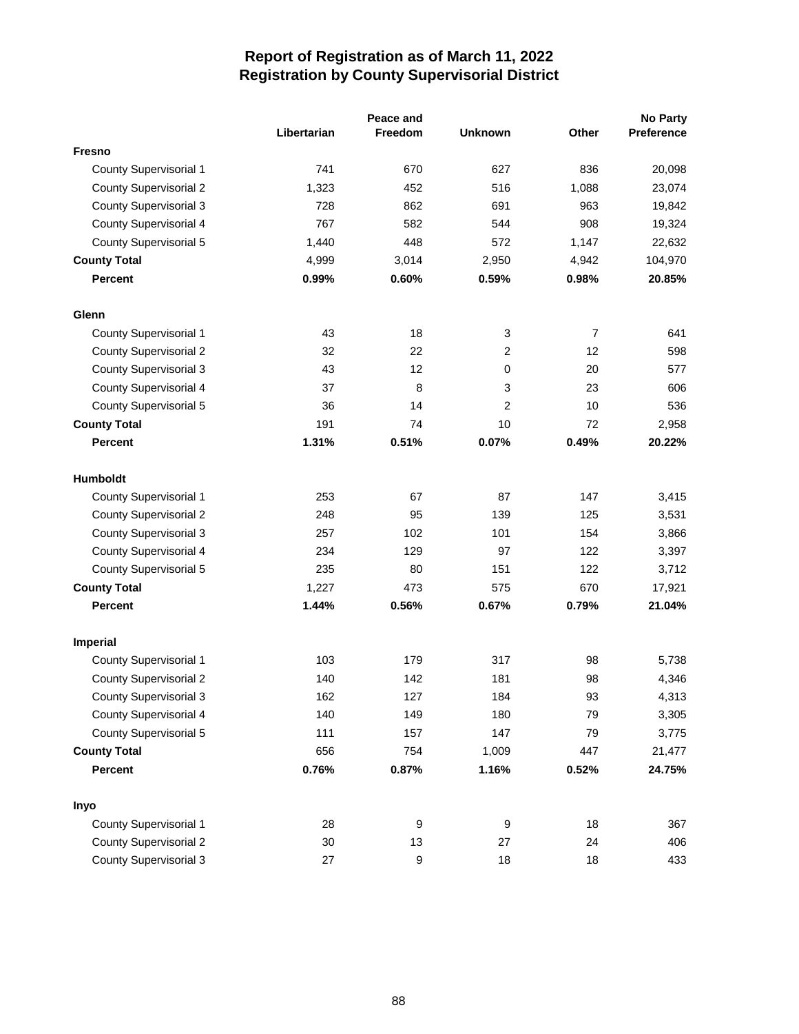|                               |             | Peace and        |                  |                |            |
|-------------------------------|-------------|------------------|------------------|----------------|------------|
|                               | Libertarian | Freedom          | <b>Unknown</b>   | Other          | Preference |
| <b>Fresno</b>                 |             |                  |                  |                |            |
| <b>County Supervisorial 1</b> | 741         | 670              | 627              | 836            | 20,098     |
| <b>County Supervisorial 2</b> | 1,323       | 452              | 516              | 1,088          | 23,074     |
| <b>County Supervisorial 3</b> | 728         | 862              | 691              | 963            | 19,842     |
| <b>County Supervisorial 4</b> | 767         | 582              | 544              | 908            | 19,324     |
| <b>County Supervisorial 5</b> | 1,440       | 448              | 572              | 1,147          | 22,632     |
| <b>County Total</b>           | 4,999       | 3,014            | 2,950            | 4,942          | 104,970    |
| <b>Percent</b>                | 0.99%       | 0.60%            | 0.59%            | 0.98%          | 20.85%     |
| Glenn                         |             |                  |                  |                |            |
| <b>County Supervisorial 1</b> | 43          | 18               | 3                | $\overline{7}$ | 641        |
| <b>County Supervisorial 2</b> | 32          | 22               | 2                | 12             | 598        |
| <b>County Supervisorial 3</b> | 43          | 12               | 0                | 20             | 577        |
| <b>County Supervisorial 4</b> | 37          | 8                | 3                | 23             | 606        |
| <b>County Supervisorial 5</b> | 36          | 14               | 2                | 10             | 536        |
| <b>County Total</b>           | 191         | 74               | 10               | 72             | 2,958      |
| <b>Percent</b>                | 1.31%       | 0.51%            | 0.07%            | 0.49%          | 20.22%     |
| Humboldt                      |             |                  |                  |                |            |
| <b>County Supervisorial 1</b> | 253         | 67               | 87               | 147            | 3,415      |
| <b>County Supervisorial 2</b> | 248         | 95               | 139              | 125            | 3,531      |
| <b>County Supervisorial 3</b> | 257         | 102              | 101              | 154            | 3,866      |
| <b>County Supervisorial 4</b> | 234         | 129              | 97               | 122            | 3,397      |
| <b>County Supervisorial 5</b> | 235         | 80               | 151              | 122            | 3,712      |
| <b>County Total</b>           | 1,227       | 473              | 575              | 670            | 17,921     |
| <b>Percent</b>                | 1.44%       | 0.56%            | 0.67%            | 0.79%          | 21.04%     |
| <b>Imperial</b>               |             |                  |                  |                |            |
| <b>County Supervisorial 1</b> | 103         | 179              | 317              | 98             | 5,738      |
| <b>County Supervisorial 2</b> | 140         | 142              | 181              | 98             | 4,346      |
| <b>County Supervisorial 3</b> | 162         | 127              | 184              | 93             | 4,313      |
| <b>County Supervisorial 4</b> | 140         | 149              | 180              | 79             | 3,305      |
| <b>County Supervisorial 5</b> | 111         | 157              | 147              | 79             | 3,775      |
| <b>County Total</b>           | 656         | 754              | 1,009            | 447            | 21,477     |
| <b>Percent</b>                | 0.76%       | 0.87%            | 1.16%            | 0.52%          | 24.75%     |
| Inyo                          |             |                  |                  |                |            |
| <b>County Supervisorial 1</b> | 28          | 9                | $\boldsymbol{9}$ | 18             | 367        |
| <b>County Supervisorial 2</b> | 30          | 13               | 27               | 24             | 406        |
| <b>County Supervisorial 3</b> | 27          | $\boldsymbol{9}$ | 18               | 18             | 433        |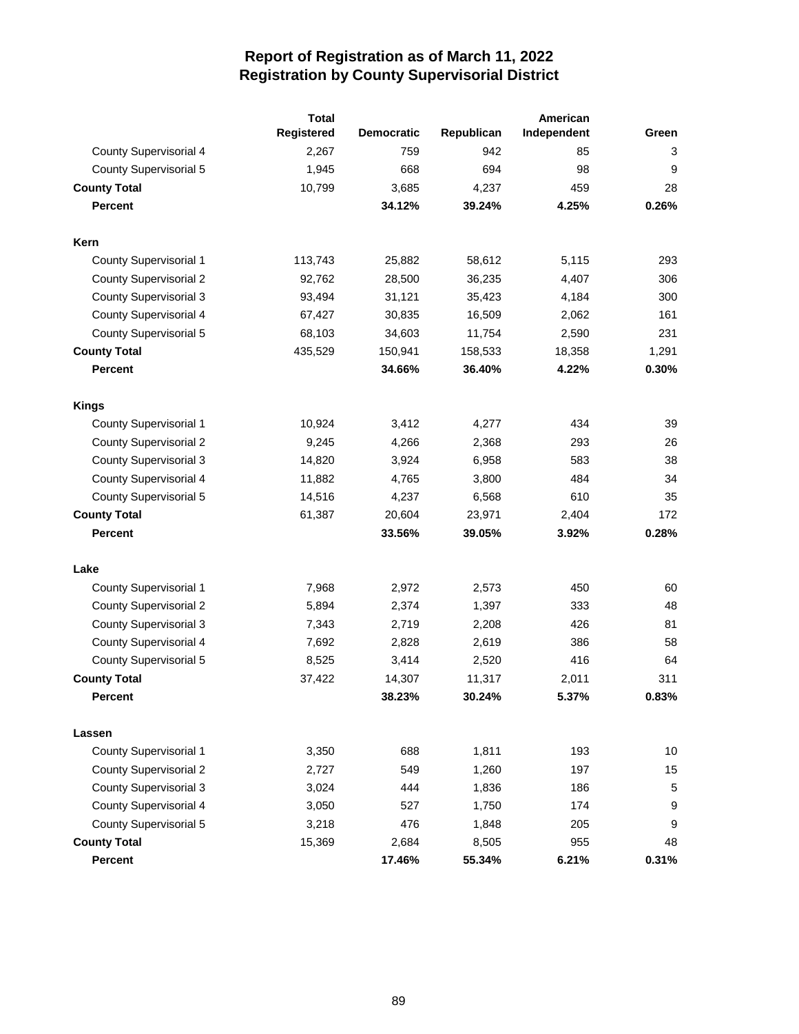|                               | <b>Total</b>      |                   | American   |             |       |
|-------------------------------|-------------------|-------------------|------------|-------------|-------|
|                               | <b>Registered</b> | <b>Democratic</b> | Republican | Independent | Green |
| <b>County Supervisorial 4</b> | 2,267             | 759               | 942        | 85          | 3     |
| <b>County Supervisorial 5</b> | 1,945             | 668               | 694        | 98          | 9     |
| <b>County Total</b>           | 10,799            | 3,685             | 4,237      | 459         | 28    |
| <b>Percent</b>                |                   | 34.12%            | 39.24%     | 4.25%       | 0.26% |
| Kern                          |                   |                   |            |             |       |
| <b>County Supervisorial 1</b> | 113,743           | 25,882            | 58,612     | 5,115       | 293   |
| <b>County Supervisorial 2</b> | 92,762            | 28,500            | 36,235     | 4,407       | 306   |
| <b>County Supervisorial 3</b> | 93,494            | 31,121            | 35,423     | 4,184       | 300   |
| County Supervisorial 4        | 67,427            | 30,835            | 16,509     | 2,062       | 161   |
| County Supervisorial 5        | 68,103            | 34,603            | 11,754     | 2,590       | 231   |
| <b>County Total</b>           | 435,529           | 150,941           | 158,533    | 18,358      | 1,291 |
| <b>Percent</b>                |                   | 34.66%            | 36.40%     | 4.22%       | 0.30% |
| <b>Kings</b>                  |                   |                   |            |             |       |
| <b>County Supervisorial 1</b> | 10,924            | 3,412             | 4,277      | 434         | 39    |
| <b>County Supervisorial 2</b> | 9,245             | 4,266             | 2,368      | 293         | 26    |
| <b>County Supervisorial 3</b> | 14,820            | 3,924             | 6,958      | 583         | 38    |
| <b>County Supervisorial 4</b> | 11,882            | 4,765             | 3,800      | 484         | 34    |
| <b>County Supervisorial 5</b> | 14,516            | 4,237             | 6,568      | 610         | 35    |
| <b>County Total</b>           | 61,387            | 20,604            | 23,971     | 2,404       | 172   |
| <b>Percent</b>                |                   | 33.56%            | 39.05%     | 3.92%       | 0.28% |
| Lake                          |                   |                   |            |             |       |
| <b>County Supervisorial 1</b> | 7,968             | 2,972             | 2,573      | 450         | 60    |
| <b>County Supervisorial 2</b> | 5,894             | 2,374             | 1,397      | 333         | 48    |
| <b>County Supervisorial 3</b> | 7,343             | 2,719             | 2,208      | 426         | 81    |
| <b>County Supervisorial 4</b> | 7,692             | 2,828             | 2,619      | 386         | 58    |
| County Supervisorial 5        | 8,525             | 3,414             | 2,520      | 416         | 64    |
| <b>County Total</b>           | 37,422            | 14,307            | 11,317     | 2,011       | 311   |
| Percent                       |                   | 38.23%            | 30.24%     | 5.37%       | 0.83% |
| Lassen                        |                   |                   |            |             |       |
| <b>County Supervisorial 1</b> | 3,350             | 688               | 1,811      | 193         | 10    |
| <b>County Supervisorial 2</b> | 2,727             | 549               | 1,260      | 197         | 15    |
| <b>County Supervisorial 3</b> | 3,024             | 444               | 1,836      | 186         | 5     |
| <b>County Supervisorial 4</b> | 3,050             | 527               | 1,750      | 174         | 9     |
| <b>County Supervisorial 5</b> | 3,218             | 476               | 1,848      | 205         | 9     |
| <b>County Total</b>           | 15,369            | 2,684             | 8,505      | 955         | 48    |
| Percent                       |                   | 17.46%            | 55.34%     | 6.21%       | 0.31% |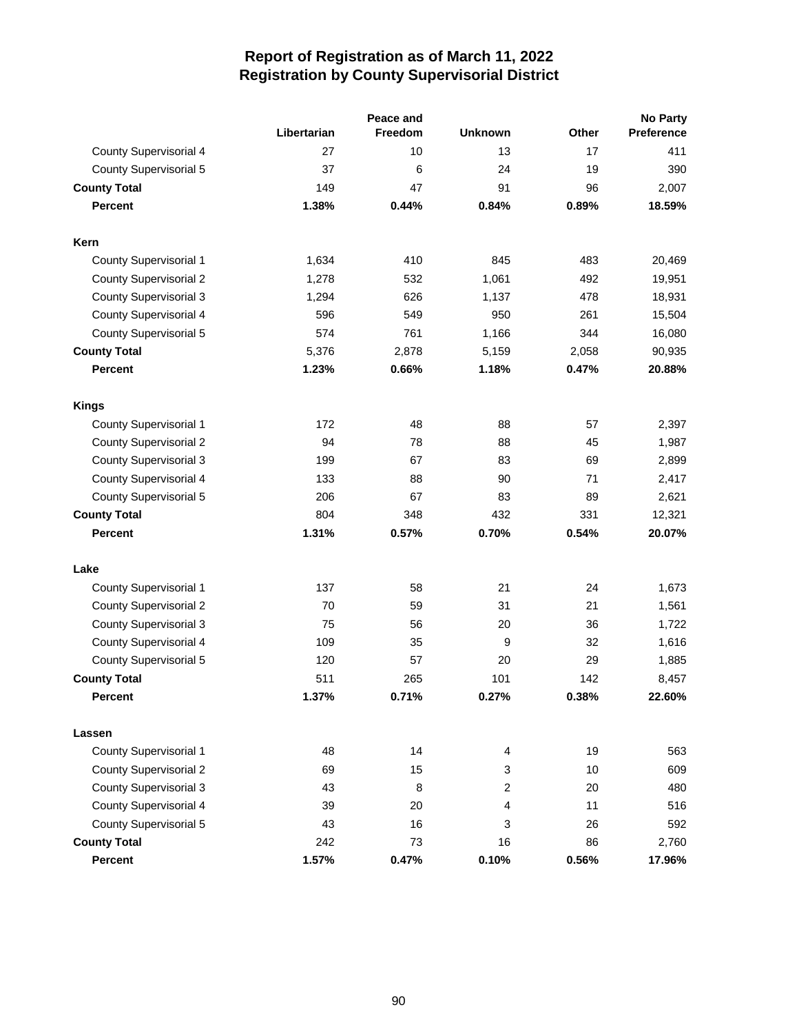|                               |             | Peace and |                |       | <b>No Party</b> |  |  |
|-------------------------------|-------------|-----------|----------------|-------|-----------------|--|--|
|                               | Libertarian | Freedom   | <b>Unknown</b> | Other | Preference      |  |  |
| <b>County Supervisorial 4</b> | 27          | 10        | 13             | 17    | 411             |  |  |
| <b>County Supervisorial 5</b> | 37          | 6         | 24             | 19    | 390             |  |  |
| <b>County Total</b>           | 149         | 47        | 91             | 96    | 2,007           |  |  |
| <b>Percent</b>                | 1.38%       | 0.44%     | 0.84%          | 0.89% | 18.59%          |  |  |
| Kern                          |             |           |                |       |                 |  |  |
| <b>County Supervisorial 1</b> | 1,634       | 410       | 845            | 483   | 20,469          |  |  |
| <b>County Supervisorial 2</b> | 1,278       | 532       | 1,061          | 492   | 19,951          |  |  |
| <b>County Supervisorial 3</b> | 1,294       | 626       | 1,137          | 478   | 18,931          |  |  |
| County Supervisorial 4        | 596         | 549       | 950            | 261   | 15,504          |  |  |
| <b>County Supervisorial 5</b> | 574         | 761       | 1,166          | 344   | 16,080          |  |  |
| <b>County Total</b>           | 5,376       | 2,878     | 5,159          | 2,058 | 90,935          |  |  |
| <b>Percent</b>                | 1.23%       | 0.66%     | 1.18%          | 0.47% | 20.88%          |  |  |
| <b>Kings</b>                  |             |           |                |       |                 |  |  |
| <b>County Supervisorial 1</b> | 172         | 48        | 88             | 57    | 2,397           |  |  |
| <b>County Supervisorial 2</b> | 94          | 78        | 88             | 45    | 1,987           |  |  |
| <b>County Supervisorial 3</b> | 199         | 67        | 83             | 69    | 2,899           |  |  |
| County Supervisorial 4        | 133         | 88        | 90             | 71    | 2,417           |  |  |
| <b>County Supervisorial 5</b> | 206         | 67        | 83             | 89    | 2,621           |  |  |
| <b>County Total</b>           | 804         | 348       | 432            | 331   | 12,321          |  |  |
| <b>Percent</b>                | 1.31%       | 0.57%     | 0.70%          | 0.54% | 20.07%          |  |  |
| Lake                          |             |           |                |       |                 |  |  |
| County Supervisorial 1        | 137         | 58        | 21             | 24    | 1,673           |  |  |
| <b>County Supervisorial 2</b> | 70          | 59        | 31             | 21    | 1,561           |  |  |
| <b>County Supervisorial 3</b> | 75          | 56        | 20             | 36    | 1,722           |  |  |
| County Supervisorial 4        | 109         | 35        | 9              | 32    | 1,616           |  |  |
| County Supervisorial 5        | 120         | 57        | 20             | 29    | 1,885           |  |  |
| <b>County Total</b>           | 511         | 265       | 101            | 142   | 8,457           |  |  |
| Percent                       | 1.37%       | 0.71%     | 0.27%          | 0.38% | 22.60%          |  |  |
| Lassen                        |             |           |                |       |                 |  |  |
| <b>County Supervisorial 1</b> | 48          | 14        | 4              | 19    | 563             |  |  |
| <b>County Supervisorial 2</b> | 69          | 15        | 3              | 10    | 609             |  |  |
| <b>County Supervisorial 3</b> | 43          | 8         | 2              | 20    | 480             |  |  |
| County Supervisorial 4        | 39          | 20        | 4              | 11    | 516             |  |  |
| <b>County Supervisorial 5</b> | 43          | 16        | 3              | 26    | 592             |  |  |
| <b>County Total</b>           | 242         | 73        | 16             | 86    | 2,760           |  |  |
| <b>Percent</b>                | 1.57%       | 0.47%     | 0.10%          | 0.56% | 17.96%          |  |  |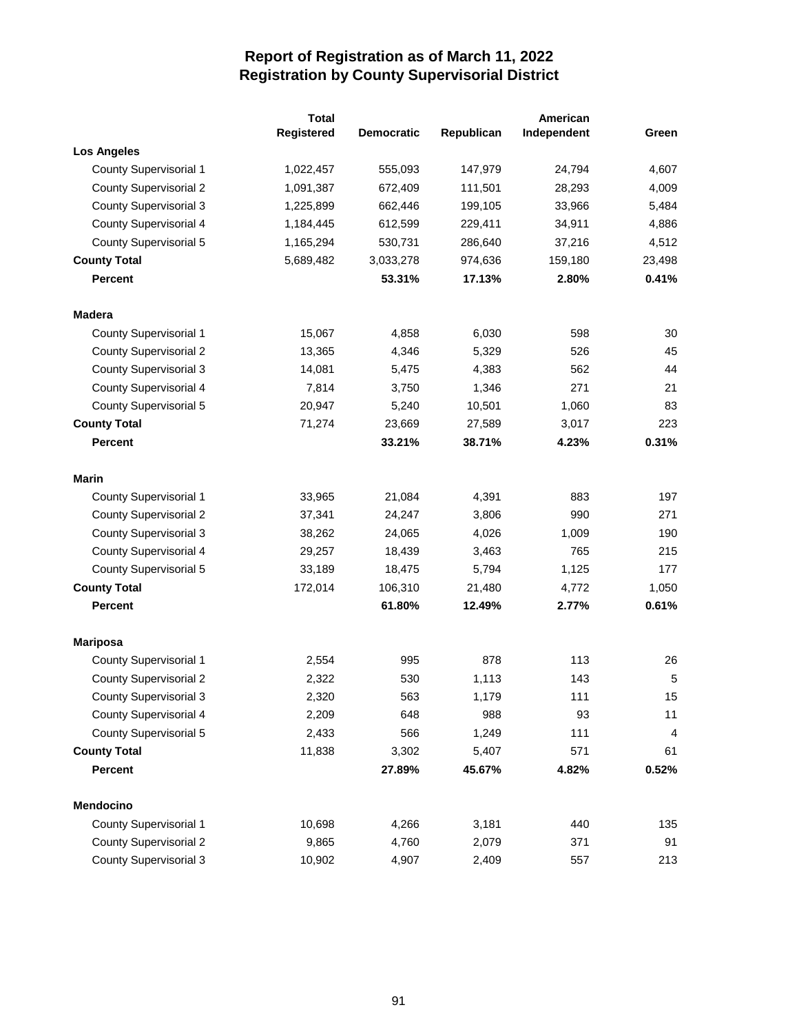|                               | <b>Total</b> |                   |            | American    |        |
|-------------------------------|--------------|-------------------|------------|-------------|--------|
|                               | Registered   | <b>Democratic</b> | Republican | Independent | Green  |
| <b>Los Angeles</b>            |              |                   |            |             |        |
| County Supervisorial 1        | 1,022,457    | 555,093           | 147,979    | 24,794      | 4,607  |
| <b>County Supervisorial 2</b> | 1,091,387    | 672,409           | 111,501    | 28,293      | 4,009  |
| <b>County Supervisorial 3</b> | 1,225,899    | 662,446           | 199,105    | 33,966      | 5,484  |
| County Supervisorial 4        | 1,184,445    | 612,599           | 229,411    | 34,911      | 4,886  |
| County Supervisorial 5        | 1,165,294    | 530,731           | 286,640    | 37,216      | 4,512  |
| <b>County Total</b>           | 5,689,482    | 3,033,278         | 974,636    | 159,180     | 23,498 |
| <b>Percent</b>                |              | 53.31%            | 17.13%     | 2.80%       | 0.41%  |
| <b>Madera</b>                 |              |                   |            |             |        |
| <b>County Supervisorial 1</b> | 15,067       | 4,858             | 6,030      | 598         | 30     |
| <b>County Supervisorial 2</b> | 13,365       | 4,346             | 5,329      | 526         | 45     |
| <b>County Supervisorial 3</b> | 14,081       | 5,475             | 4,383      | 562         | 44     |
| County Supervisorial 4        | 7,814        | 3,750             | 1,346      | 271         | 21     |
| County Supervisorial 5        | 20,947       | 5,240             | 10,501     | 1,060       | 83     |
| <b>County Total</b>           | 71,274       | 23,669            | 27,589     | 3,017       | 223    |
| <b>Percent</b>                |              | 33.21%            | 38.71%     | 4.23%       | 0.31%  |
| <b>Marin</b>                  |              |                   |            |             |        |
| <b>County Supervisorial 1</b> | 33,965       | 21,084            | 4,391      | 883         | 197    |
| <b>County Supervisorial 2</b> | 37,341       | 24,247            | 3,806      | 990         | 271    |
| <b>County Supervisorial 3</b> | 38,262       | 24,065            | 4,026      | 1,009       | 190    |
| County Supervisorial 4        | 29,257       | 18,439            | 3,463      | 765         | 215    |
| County Supervisorial 5        | 33,189       | 18,475            | 5,794      | 1,125       | 177    |
| <b>County Total</b>           | 172,014      | 106,310           | 21,480     | 4,772       | 1,050  |
| <b>Percent</b>                |              | 61.80%            | 12.49%     | 2.77%       | 0.61%  |
| <b>Mariposa</b>               |              |                   |            |             |        |
| <b>County Supervisorial 1</b> | 2,554        | 995               | 878        | 113         | 26     |
| <b>County Supervisorial 2</b> | 2,322        | 530               | 1,113      | 143         | 5      |
| <b>County Supervisorial 3</b> | 2,320        | 563               | 1,179      | 111         | 15     |
| County Supervisorial 4        | 2,209        | 648               | 988        | 93          | 11     |
| <b>County Supervisorial 5</b> | 2,433        | 566               | 1,249      | 111         | 4      |
| <b>County Total</b>           | 11,838       | 3,302             | 5,407      | 571         | 61     |
| <b>Percent</b>                |              | 27.89%            | 45.67%     | 4.82%       | 0.52%  |
| Mendocino                     |              |                   |            |             |        |
| County Supervisorial 1        | 10,698       | 4,266             | 3,181      | 440         | 135    |
| <b>County Supervisorial 2</b> | 9,865        | 4,760             | 2,079      | 371         | 91     |
| <b>County Supervisorial 3</b> | 10,902       | 4,907             | 2,409      | 557         | 213    |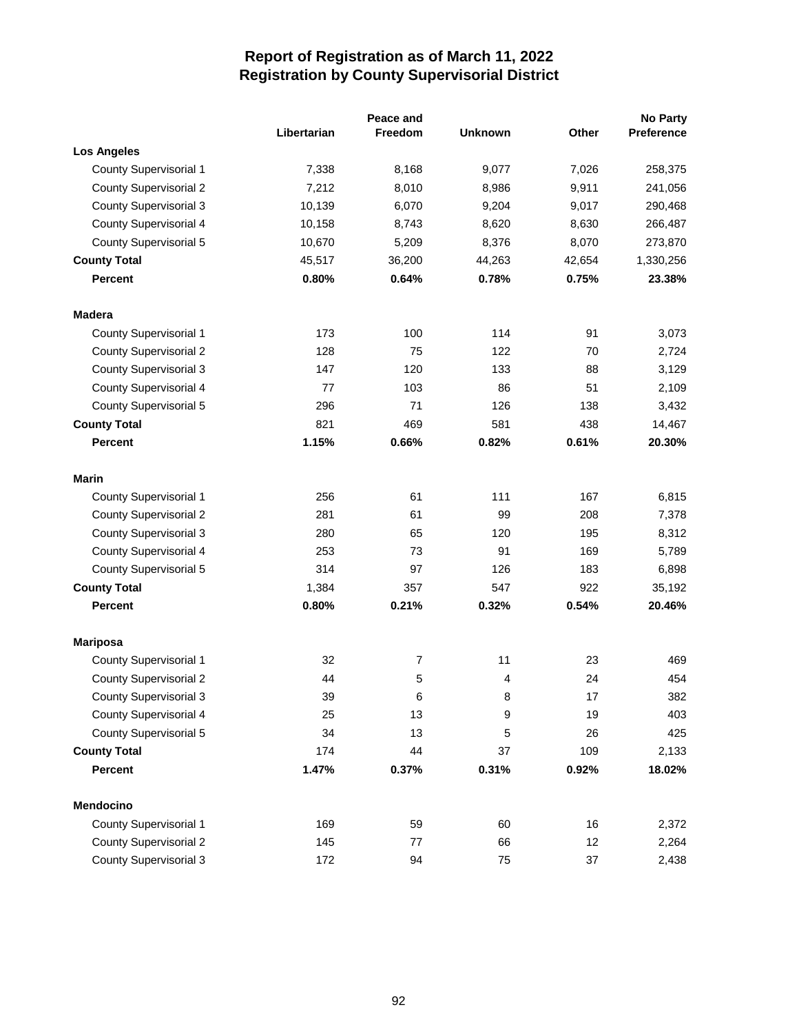|                               |             | Peace and |                |        | <b>No Party</b>   |
|-------------------------------|-------------|-----------|----------------|--------|-------------------|
|                               | Libertarian | Freedom   | <b>Unknown</b> | Other  | <b>Preference</b> |
| <b>Los Angeles</b>            |             |           |                |        |                   |
| <b>County Supervisorial 1</b> | 7,338       | 8,168     | 9,077          | 7,026  | 258,375           |
| <b>County Supervisorial 2</b> | 7,212       | 8,010     | 8,986          | 9,911  | 241,056           |
| <b>County Supervisorial 3</b> | 10,139      | 6,070     | 9,204          | 9,017  | 290,468           |
| <b>County Supervisorial 4</b> | 10,158      | 8,743     | 8,620          | 8,630  | 266,487           |
| <b>County Supervisorial 5</b> | 10,670      | 5,209     | 8,376          | 8,070  | 273,870           |
| <b>County Total</b>           | 45,517      | 36,200    | 44,263         | 42,654 | 1,330,256         |
| <b>Percent</b>                | 0.80%       | 0.64%     | 0.78%          | 0.75%  | 23.38%            |
| <b>Madera</b>                 |             |           |                |        |                   |
| <b>County Supervisorial 1</b> | 173         | 100       | 114            | 91     | 3,073             |
| <b>County Supervisorial 2</b> | 128         | 75        | 122            | 70     | 2,724             |
| <b>County Supervisorial 3</b> | 147         | 120       | 133            | 88     | 3,129             |
| <b>County Supervisorial 4</b> | 77          | 103       | 86             | 51     | 2,109             |
| <b>County Supervisorial 5</b> | 296         | 71        | 126            | 138    | 3,432             |
| <b>County Total</b>           | 821         | 469       | 581            | 438    | 14,467            |
| <b>Percent</b>                | 1.15%       | 0.66%     | 0.82%          | 0.61%  | 20.30%            |
| <b>Marin</b>                  |             |           |                |        |                   |
| <b>County Supervisorial 1</b> | 256         | 61        | 111            | 167    | 6,815             |
| <b>County Supervisorial 2</b> | 281         | 61        | 99             | 208    | 7,378             |
| <b>County Supervisorial 3</b> | 280         | 65        | 120            | 195    | 8,312             |
| <b>County Supervisorial 4</b> | 253         | 73        | 91             | 169    | 5,789             |
| <b>County Supervisorial 5</b> | 314         | 97        | 126            | 183    | 6,898             |
| <b>County Total</b>           | 1,384       | 357       | 547            | 922    | 35,192            |
| <b>Percent</b>                | 0.80%       | 0.21%     | 0.32%          | 0.54%  | 20.46%            |
| <b>Mariposa</b>               |             |           |                |        |                   |
| <b>County Supervisorial 1</b> | 32          | 7         | 11             | 23     | 469               |
| <b>County Supervisorial 2</b> | 44          | 5         | 4              | 24     | 454               |
| <b>County Supervisorial 3</b> | 39          | 6         | 8              | $17\,$ | 382               |
| <b>County Supervisorial 4</b> | 25          | 13        | 9              | 19     | 403               |
| <b>County Supervisorial 5</b> | 34          | 13        | 5              | 26     | 425               |
| <b>County Total</b>           | 174         | 44        | 37             | 109    | 2,133             |
| <b>Percent</b>                | 1.47%       | 0.37%     | 0.31%          | 0.92%  | 18.02%            |
| <b>Mendocino</b>              |             |           |                |        |                   |
| <b>County Supervisorial 1</b> | 169         | 59        | 60             | 16     | 2,372             |
| <b>County Supervisorial 2</b> | 145         | $77\,$    | 66             | 12     | 2,264             |
| <b>County Supervisorial 3</b> | 172         | 94        | 75             | 37     | 2,438             |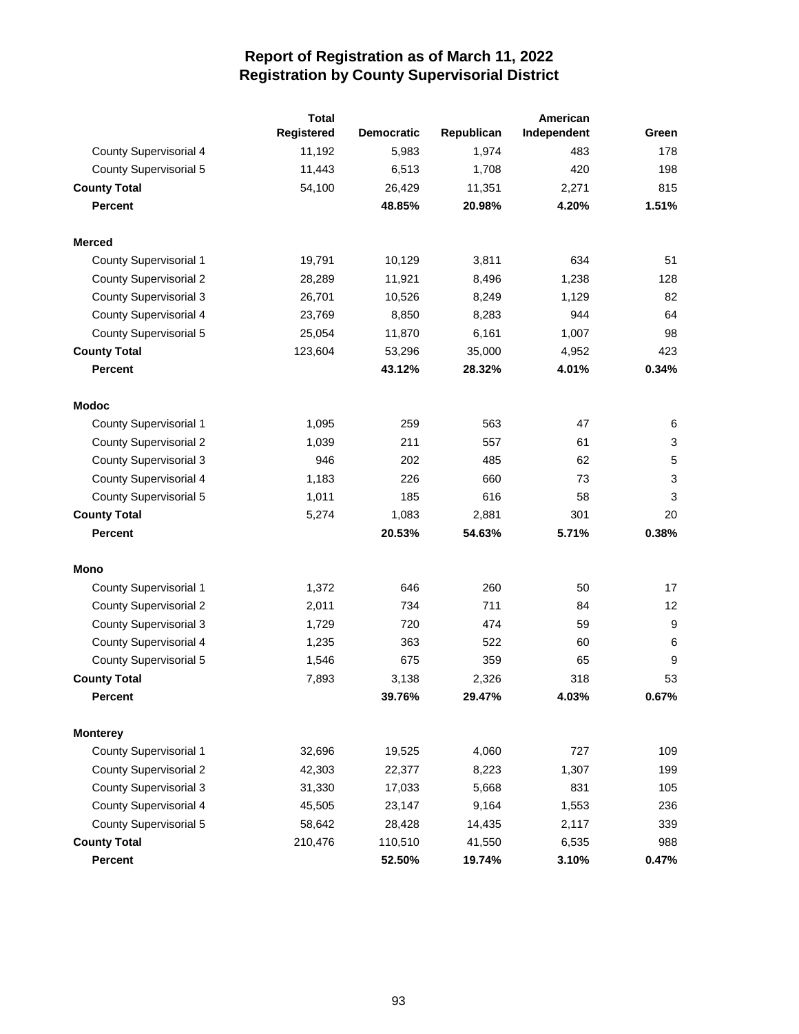|                               | <b>Total</b> |                   |            |             |       |
|-------------------------------|--------------|-------------------|------------|-------------|-------|
|                               | Registered   | <b>Democratic</b> | Republican | Independent | Green |
| <b>County Supervisorial 4</b> | 11,192       | 5,983             | 1,974      | 483         | 178   |
| County Supervisorial 5        | 11,443       | 6,513             | 1,708      | 420         | 198   |
| <b>County Total</b>           | 54,100       | 26,429            | 11,351     | 2,271       | 815   |
| <b>Percent</b>                |              | 48.85%            | 20.98%     | 4.20%       | 1.51% |
| <b>Merced</b>                 |              |                   |            |             |       |
| <b>County Supervisorial 1</b> | 19,791       | 10,129            | 3,811      | 634         | 51    |
| <b>County Supervisorial 2</b> | 28,289       | 11,921            | 8,496      | 1,238       | 128   |
| <b>County Supervisorial 3</b> | 26,701       | 10,526            | 8,249      | 1,129       | 82    |
| <b>County Supervisorial 4</b> | 23,769       | 8,850             | 8,283      | 944         | 64    |
| County Supervisorial 5        | 25,054       | 11,870            | 6,161      | 1,007       | 98    |
| <b>County Total</b>           | 123,604      | 53,296            | 35,000     | 4,952       | 423   |
| <b>Percent</b>                |              | 43.12%            | 28.32%     | 4.01%       | 0.34% |
| <b>Modoc</b>                  |              |                   |            |             |       |
| <b>County Supervisorial 1</b> | 1,095        | 259               | 563        | 47          | 6     |
| <b>County Supervisorial 2</b> | 1,039        | 211               | 557        | 61          | 3     |
| <b>County Supervisorial 3</b> | 946          | 202               | 485        | 62          | 5     |
| <b>County Supervisorial 4</b> | 1,183        | 226               | 660        | 73          | 3     |
| <b>County Supervisorial 5</b> | 1,011        | 185               | 616        | 58          | 3     |
| <b>County Total</b>           | 5,274        | 1,083             | 2,881      | 301         | 20    |
| <b>Percent</b>                |              | 20.53%            | 54.63%     | 5.71%       | 0.38% |
| Mono                          |              |                   |            |             |       |
| <b>County Supervisorial 1</b> | 1,372        | 646               | 260        | 50          | 17    |
| <b>County Supervisorial 2</b> | 2,011        | 734               | 711        | 84          | 12    |
| <b>County Supervisorial 3</b> | 1,729        | 720               | 474        | 59          | 9     |
| <b>County Supervisorial 4</b> | 1,235        | 363               | 522        | 60          | 6     |
| <b>County Supervisorial 5</b> | 1,546        | 675               | 359        | 65          | 9     |
| <b>County Total</b>           | 7,893        | 3,138             | 2,326      | 318         | 53    |
| Percent                       |              | 39.76%            | 29.47%     | 4.03%       | 0.67% |
| <b>Monterey</b>               |              |                   |            |             |       |
| <b>County Supervisorial 1</b> | 32,696       | 19,525            | 4,060      | 727         | 109   |
| <b>County Supervisorial 2</b> | 42,303       | 22,377            | 8,223      | 1,307       | 199   |
| <b>County Supervisorial 3</b> | 31,330       | 17,033            | 5,668      | 831         | 105   |
| <b>County Supervisorial 4</b> | 45,505       | 23,147            | 9,164      | 1,553       | 236   |
| County Supervisorial 5        | 58,642       | 28,428            | 14,435     | 2,117       | 339   |
| <b>County Total</b>           | 210,476      | 110,510           | 41,550     | 6,535       | 988   |
| <b>Percent</b>                |              | 52.50%            | 19.74%     | 3.10%       | 0.47% |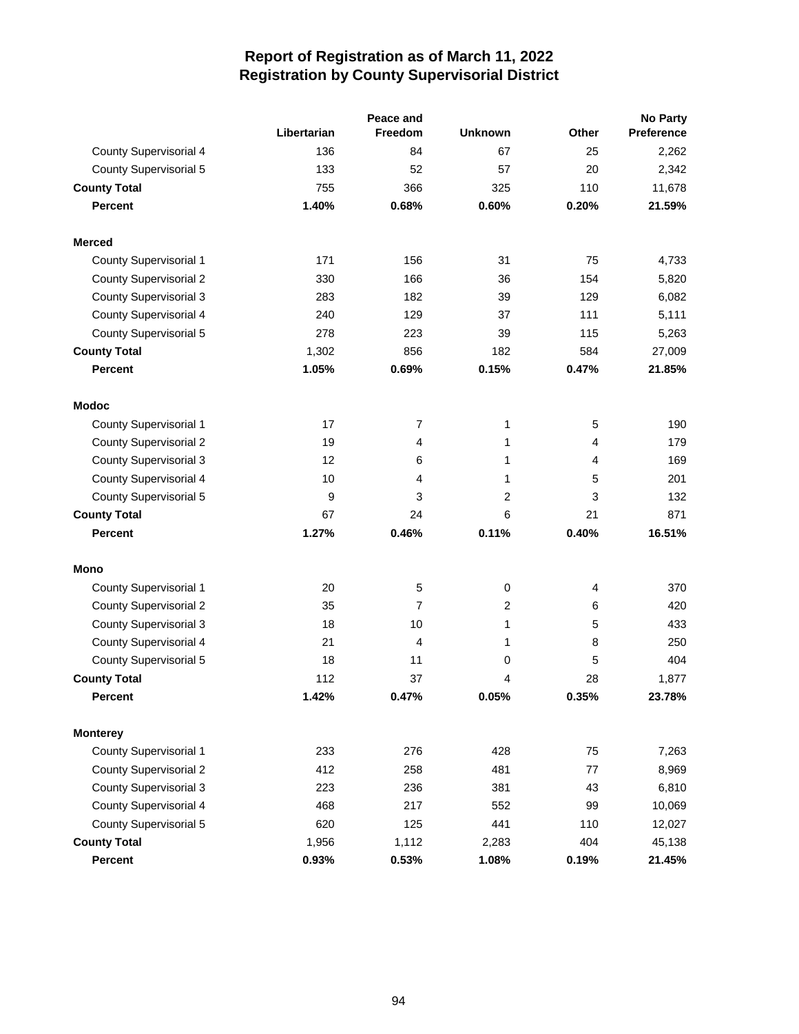|                               |             | Peace and      |                | <b>No Party</b> |                   |  |
|-------------------------------|-------------|----------------|----------------|-----------------|-------------------|--|
|                               | Libertarian | <b>Freedom</b> | <b>Unknown</b> | Other           | <b>Preference</b> |  |
| <b>County Supervisorial 4</b> | 136         | 84             | 67             | 25              | 2,262             |  |
| <b>County Supervisorial 5</b> | 133         | 52             | 57             | 20              | 2,342             |  |
| <b>County Total</b>           | 755         | 366            | 325            | 110             | 11,678            |  |
| <b>Percent</b>                | 1.40%       | 0.68%          | 0.60%          | 0.20%           | 21.59%            |  |
| <b>Merced</b>                 |             |                |                |                 |                   |  |
| <b>County Supervisorial 1</b> | 171         | 156            | 31             | 75              | 4,733             |  |
| <b>County Supervisorial 2</b> | 330         | 166            | 36             | 154             | 5,820             |  |
| <b>County Supervisorial 3</b> | 283         | 182            | 39             | 129             | 6,082             |  |
| County Supervisorial 4        | 240         | 129            | 37             | 111             | 5,111             |  |
| <b>County Supervisorial 5</b> | 278         | 223            | 39             | 115             | 5,263             |  |
| <b>County Total</b>           | 1,302       | 856            | 182            | 584             | 27,009            |  |
| <b>Percent</b>                | 1.05%       | 0.69%          | 0.15%          | 0.47%           | 21.85%            |  |
| <b>Modoc</b>                  |             |                |                |                 |                   |  |
| <b>County Supervisorial 1</b> | 17          | $\overline{7}$ | 1              | 5               | 190               |  |
| <b>County Supervisorial 2</b> | 19          | 4              | 1              | 4               | 179               |  |
| <b>County Supervisorial 3</b> | 12          | 6              | 1              | 4               | 169               |  |
| County Supervisorial 4        | 10          | 4              | 1              | 5               | 201               |  |
| <b>County Supervisorial 5</b> | 9           | 3              | 2              | 3               | 132               |  |
| <b>County Total</b>           | 67          | 24             | 6              | 21              | 871               |  |
| <b>Percent</b>                | 1.27%       | 0.46%          | 0.11%          | 0.40%           | 16.51%            |  |
| Mono                          |             |                |                |                 |                   |  |
| <b>County Supervisorial 1</b> | 20          | 5              | 0              | $\overline{4}$  | 370               |  |
| <b>County Supervisorial 2</b> | 35          | 7              | 2              | 6               | 420               |  |
| <b>County Supervisorial 3</b> | 18          | 10             | 1              | 5               | 433               |  |
| County Supervisorial 4        | 21          | 4              | 1              | 8               | 250               |  |
| <b>County Supervisorial 5</b> | 18          | 11             | 0              | 5               | 404               |  |
| <b>County Total</b>           | 112         | 37             | 4              | 28              | 1,877             |  |
| <b>Percent</b>                | 1.42%       | 0.47%          | 0.05%          | 0.35%           | 23.78%            |  |
| <b>Monterey</b>               |             |                |                |                 |                   |  |
| County Supervisorial 1        | 233         | 276            | 428            | 75              | 7,263             |  |
| <b>County Supervisorial 2</b> | 412         | 258            | 481            | 77              | 8,969             |  |
| <b>County Supervisorial 3</b> | 223         | 236            | 381            | 43              | 6,810             |  |
| County Supervisorial 4        | 468         | 217            | 552            | 99              | 10,069            |  |
| <b>County Supervisorial 5</b> | 620         | 125            | 441            | 110             | 12,027            |  |
| <b>County Total</b>           | 1,956       | 1,112          | 2,283          | 404             | 45,138            |  |
| <b>Percent</b>                | 0.93%       | 0.53%          | 1.08%          | 0.19%           | 21.45%            |  |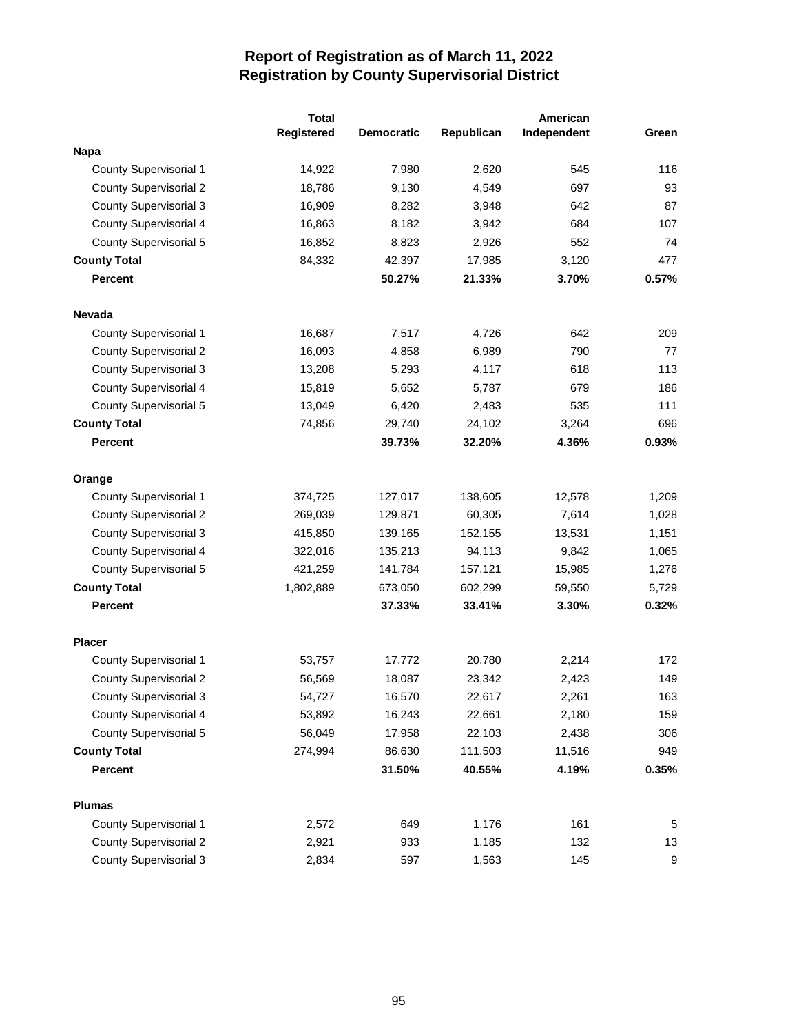|                               | <b>Total</b> |                   | American   |             |       |
|-------------------------------|--------------|-------------------|------------|-------------|-------|
|                               | Registered   | <b>Democratic</b> | Republican | Independent | Green |
| Napa                          |              |                   |            |             |       |
| <b>County Supervisorial 1</b> | 14,922       | 7,980             | 2,620      | 545         | 116   |
| <b>County Supervisorial 2</b> | 18,786       | 9,130             | 4,549      | 697         | 93    |
| <b>County Supervisorial 3</b> | 16,909       | 8,282             | 3,948      | 642         | 87    |
| County Supervisorial 4        | 16,863       | 8,182             | 3,942      | 684         | 107   |
| County Supervisorial 5        | 16,852       | 8,823             | 2,926      | 552         | 74    |
| <b>County Total</b>           | 84,332       | 42,397            | 17,985     | 3,120       | 477   |
| <b>Percent</b>                |              | 50.27%            | 21.33%     | 3.70%       | 0.57% |
| <b>Nevada</b>                 |              |                   |            |             |       |
| <b>County Supervisorial 1</b> | 16,687       | 7,517             | 4,726      | 642         | 209   |
| <b>County Supervisorial 2</b> | 16,093       | 4,858             | 6,989      | 790         | 77    |
| <b>County Supervisorial 3</b> | 13,208       | 5,293             | 4,117      | 618         | 113   |
| <b>County Supervisorial 4</b> | 15,819       | 5,652             | 5,787      | 679         | 186   |
| <b>County Supervisorial 5</b> | 13,049       | 6,420             | 2,483      | 535         | 111   |
| <b>County Total</b>           | 74,856       | 29,740            | 24,102     | 3,264       | 696   |
| <b>Percent</b>                |              | 39.73%            | 32.20%     | 4.36%       | 0.93% |
| Orange                        |              |                   |            |             |       |
| <b>County Supervisorial 1</b> | 374,725      | 127,017           | 138,605    | 12,578      | 1,209 |
| <b>County Supervisorial 2</b> | 269,039      | 129,871           | 60,305     | 7,614       | 1,028 |
| <b>County Supervisorial 3</b> | 415,850      | 139,165           | 152,155    | 13,531      | 1,151 |
| County Supervisorial 4        | 322,016      | 135,213           | 94,113     | 9,842       | 1,065 |
| County Supervisorial 5        | 421,259      | 141,784           | 157,121    | 15,985      | 1,276 |
| <b>County Total</b>           | 1,802,889    | 673,050           | 602,299    | 59,550      | 5,729 |
| <b>Percent</b>                |              | 37.33%            | 33.41%     | 3.30%       | 0.32% |
| <b>Placer</b>                 |              |                   |            |             |       |
| <b>County Supervisorial 1</b> | 53,757       | 17,772            | 20,780     | 2,214       | 172   |
| <b>County Supervisorial 2</b> | 56,569       | 18,087            | 23,342     | 2,423       | 149   |
| <b>County Supervisorial 3</b> | 54,727       | 16,570            | 22,617     | 2,261       | 163   |
| County Supervisorial 4        | 53,892       | 16,243            | 22,661     | 2,180       | 159   |
| <b>County Supervisorial 5</b> | 56,049       | 17,958            | 22,103     | 2,438       | 306   |
| <b>County Total</b>           | 274,994      | 86,630            | 111,503    | 11,516      | 949   |
| <b>Percent</b>                |              | 31.50%            | 40.55%     | 4.19%       | 0.35% |
| <b>Plumas</b>                 |              |                   |            |             |       |
| County Supervisorial 1        | 2,572        | 649               | 1,176      | 161         | 5     |
| <b>County Supervisorial 2</b> | 2,921        | 933               | 1,185      | 132         | 13    |
| <b>County Supervisorial 3</b> | 2,834        | 597               | 1,563      | 145         | 9     |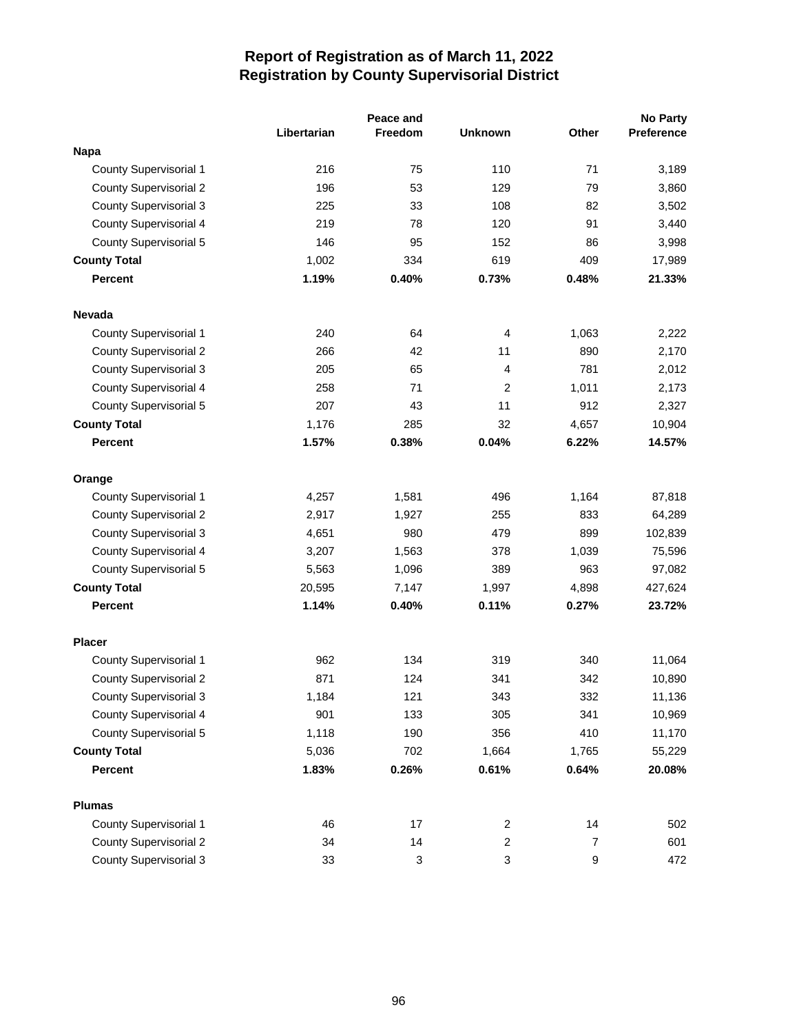|                               |             | Peace and |                |                  | No Party   |
|-------------------------------|-------------|-----------|----------------|------------------|------------|
|                               | Libertarian | Freedom   | <b>Unknown</b> | Other            | Preference |
| <b>Napa</b>                   |             |           |                |                  |            |
| <b>County Supervisorial 1</b> | 216         | 75        | 110            | 71               | 3,189      |
| <b>County Supervisorial 2</b> | 196         | 53        | 129            | 79               | 3,860      |
| <b>County Supervisorial 3</b> | 225         | 33        | 108            | 82               | 3,502      |
| <b>County Supervisorial 4</b> | 219         | 78        | 120            | 91               | 3,440      |
| <b>County Supervisorial 5</b> | 146         | 95        | 152            | 86               | 3,998      |
| <b>County Total</b>           | 1,002       | 334       | 619            | 409              | 17,989     |
| <b>Percent</b>                | 1.19%       | 0.40%     | 0.73%          | 0.48%            | 21.33%     |
| <b>Nevada</b>                 |             |           |                |                  |            |
| <b>County Supervisorial 1</b> | 240         | 64        | 4              | 1,063            | 2,222      |
| <b>County Supervisorial 2</b> | 266         | 42        | 11             | 890              | 2,170      |
| <b>County Supervisorial 3</b> | 205         | 65        | 4              | 781              | 2,012      |
| <b>County Supervisorial 4</b> | 258         | 71        | 2              | 1,011            | 2,173      |
| <b>County Supervisorial 5</b> | 207         | 43        | 11             | 912              | 2,327      |
| <b>County Total</b>           | 1,176       | 285       | 32             | 4,657            | 10,904     |
| <b>Percent</b>                | 1.57%       | 0.38%     | 0.04%          | 6.22%            | 14.57%     |
| Orange                        |             |           |                |                  |            |
| <b>County Supervisorial 1</b> | 4,257       | 1,581     | 496            | 1,164            | 87,818     |
| <b>County Supervisorial 2</b> | 2,917       | 1,927     | 255            | 833              | 64,289     |
| <b>County Supervisorial 3</b> | 4,651       | 980       | 479            | 899              | 102,839    |
| <b>County Supervisorial 4</b> | 3,207       | 1,563     | 378            | 1,039            | 75,596     |
| <b>County Supervisorial 5</b> | 5,563       | 1,096     | 389            | 963              | 97,082     |
| <b>County Total</b>           | 20,595      | 7,147     | 1,997          | 4,898            | 427,624    |
| <b>Percent</b>                | 1.14%       | 0.40%     | 0.11%          | 0.27%            | 23.72%     |
| <b>Placer</b>                 |             |           |                |                  |            |
| County Supervisorial 1        | 962         | 134       | 319            | 340              | 11,064     |
| <b>County Supervisorial 2</b> | 871         | 124       | 341            | 342              | 10,890     |
| <b>County Supervisorial 3</b> | 1,184       | 121       | 343            | 332              | 11,136     |
| <b>County Supervisorial 4</b> | 901         | 133       | 305            | 341              | 10,969     |
| <b>County Supervisorial 5</b> | 1,118       | 190       | 356            | 410              | 11,170     |
| <b>County Total</b>           | 5,036       | 702       | 1,664          | 1,765            | 55,229     |
| <b>Percent</b>                | 1.83%       | 0.26%     | 0.61%          | 0.64%            | 20.08%     |
| <b>Plumas</b>                 |             |           |                |                  |            |
| <b>County Supervisorial 1</b> | 46          | 17        | $\overline{c}$ | 14               | 502        |
| <b>County Supervisorial 2</b> | 34          | 14        | $\overline{2}$ | 7                | 601        |
| <b>County Supervisorial 3</b> | 33          | 3         | 3              | $\boldsymbol{9}$ | 472        |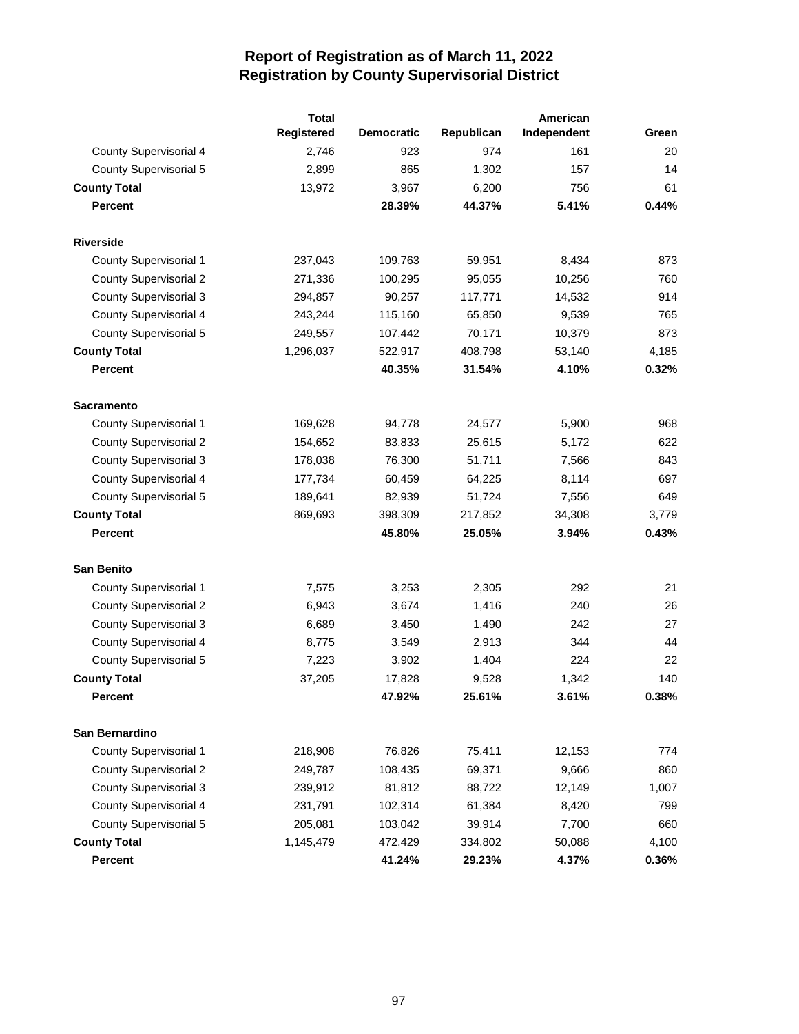|                               | <b>Total</b> |                   |            | American    |       |
|-------------------------------|--------------|-------------------|------------|-------------|-------|
|                               | Registered   | <b>Democratic</b> | Republican | Independent | Green |
| <b>County Supervisorial 4</b> | 2,746        | 923               | 974        | 161         | 20    |
| <b>County Supervisorial 5</b> | 2,899        | 865               | 1,302      | 157         | 14    |
| <b>County Total</b>           | 13,972       | 3,967             | 6,200      | 756         | 61    |
| <b>Percent</b>                |              | 28.39%            | 44.37%     | 5.41%       | 0.44% |
| <b>Riverside</b>              |              |                   |            |             |       |
| <b>County Supervisorial 1</b> | 237,043      | 109,763           | 59,951     | 8,434       | 873   |
| <b>County Supervisorial 2</b> | 271,336      | 100,295           | 95,055     | 10,256      | 760   |
| <b>County Supervisorial 3</b> | 294,857      | 90,257            | 117,771    | 14,532      | 914   |
| <b>County Supervisorial 4</b> | 243,244      | 115,160           | 65,850     | 9,539       | 765   |
| County Supervisorial 5        | 249,557      | 107,442           | 70,171     | 10,379      | 873   |
| <b>County Total</b>           | 1,296,037    | 522,917           | 408,798    | 53,140      | 4,185 |
| <b>Percent</b>                |              | 40.35%            | 31.54%     | 4.10%       | 0.32% |
| <b>Sacramento</b>             |              |                   |            |             |       |
| County Supervisorial 1        | 169,628      | 94,778            | 24,577     | 5,900       | 968   |
| <b>County Supervisorial 2</b> | 154,652      | 83,833            | 25,615     | 5,172       | 622   |
| <b>County Supervisorial 3</b> | 178,038      | 76,300            | 51,711     | 7,566       | 843   |
| <b>County Supervisorial 4</b> | 177,734      | 60,459            | 64,225     | 8,114       | 697   |
| County Supervisorial 5        | 189,641      | 82,939            | 51,724     | 7,556       | 649   |
| <b>County Total</b>           | 869,693      | 398,309           | 217,852    | 34,308      | 3,779 |
| <b>Percent</b>                |              | 45.80%            | 25.05%     | 3.94%       | 0.43% |
| <b>San Benito</b>             |              |                   |            |             |       |
| <b>County Supervisorial 1</b> | 7,575        | 3,253             | 2,305      | 292         | 21    |
| <b>County Supervisorial 2</b> | 6,943        | 3,674             | 1,416      | 240         | 26    |
| <b>County Supervisorial 3</b> | 6,689        | 3,450             | 1,490      | 242         | 27    |
| <b>County Supervisorial 4</b> | 8,775        | 3,549             | 2,913      | 344         | 44    |
| <b>County Supervisorial 5</b> | 7,223        | 3,902             | 1,404      | 224         | 22    |
| <b>County Total</b>           | 37,205       | 17,828            | 9,528      | 1,342       | 140   |
| <b>Percent</b>                |              | 47.92%            | 25.61%     | 3.61%       | 0.38% |
| San Bernardino                |              |                   |            |             |       |
| <b>County Supervisorial 1</b> | 218,908      | 76,826            | 75,411     | 12,153      | 774   |
| <b>County Supervisorial 2</b> | 249,787      | 108,435           | 69,371     | 9,666       | 860   |
| <b>County Supervisorial 3</b> | 239,912      | 81,812            | 88,722     | 12,149      | 1,007 |
| <b>County Supervisorial 4</b> | 231,791      | 102,314           | 61,384     | 8,420       | 799   |
| <b>County Supervisorial 5</b> | 205,081      | 103,042           | 39,914     | 7,700       | 660   |
| <b>County Total</b>           | 1,145,479    | 472,429           | 334,802    | 50,088      | 4,100 |
| <b>Percent</b>                |              | 41.24%            | 29.23%     | 4.37%       | 0.36% |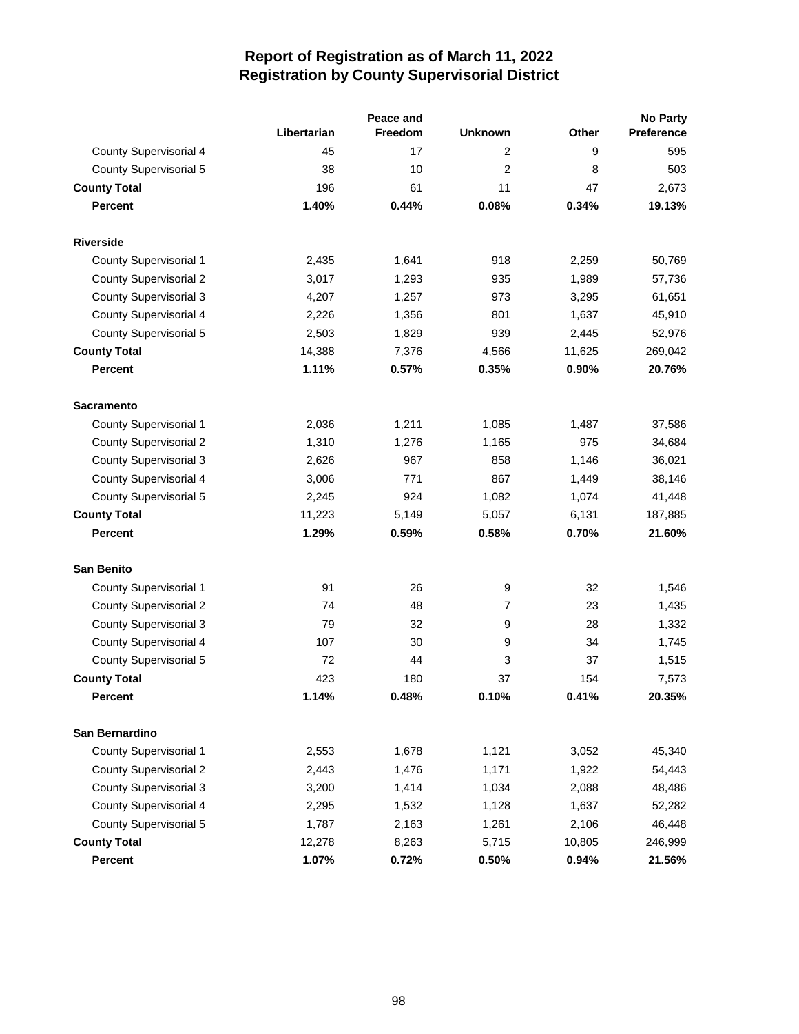|                               |             | Peace and |                |        | <b>No Party</b> |
|-------------------------------|-------------|-----------|----------------|--------|-----------------|
|                               | Libertarian | Freedom   | <b>Unknown</b> | Other  | Preference      |
| County Supervisorial 4        | 45          | 17        | 2              | 9      | 595             |
| <b>County Supervisorial 5</b> | 38          | 10        | $\overline{2}$ | 8      | 503             |
| <b>County Total</b>           | 196         | 61        | 11             | 47     | 2,673           |
| <b>Percent</b>                | 1.40%       | 0.44%     | 0.08%          | 0.34%  | 19.13%          |
| <b>Riverside</b>              |             |           |                |        |                 |
| <b>County Supervisorial 1</b> | 2,435       | 1,641     | 918            | 2,259  | 50,769          |
| <b>County Supervisorial 2</b> | 3,017       | 1,293     | 935            | 1,989  | 57,736          |
| <b>County Supervisorial 3</b> | 4,207       | 1,257     | 973            | 3,295  | 61,651          |
| County Supervisorial 4        | 2,226       | 1,356     | 801            | 1,637  | 45,910          |
| <b>County Supervisorial 5</b> | 2,503       | 1,829     | 939            | 2,445  | 52,976          |
| <b>County Total</b>           | 14,388      | 7,376     | 4,566          | 11,625 | 269,042         |
| <b>Percent</b>                | 1.11%       | 0.57%     | 0.35%          | 0.90%  | 20.76%          |
| <b>Sacramento</b>             |             |           |                |        |                 |
| County Supervisorial 1        | 2,036       | 1,211     | 1,085          | 1,487  | 37,586          |
| <b>County Supervisorial 2</b> | 1,310       | 1,276     | 1,165          | 975    | 34,684          |
| County Supervisorial 3        | 2,626       | 967       | 858            | 1,146  | 36,021          |
| County Supervisorial 4        | 3,006       | 771       | 867            | 1,449  | 38,146          |
| <b>County Supervisorial 5</b> | 2,245       | 924       | 1,082          | 1,074  | 41,448          |
| <b>County Total</b>           | 11,223      | 5,149     | 5,057          | 6,131  | 187,885         |
| <b>Percent</b>                | 1.29%       | 0.59%     | 0.58%          | 0.70%  | 21.60%          |
| <b>San Benito</b>             |             |           |                |        |                 |
| County Supervisorial 1        | 91          | 26        | 9              | 32     | 1,546           |
| <b>County Supervisorial 2</b> | 74          | 48        | 7              | 23     | 1,435           |
| <b>County Supervisorial 3</b> | 79          | 32        | 9              | 28     | 1,332           |
| County Supervisorial 4        | 107         | 30        | 9              | 34     | 1,745           |
| <b>County Supervisorial 5</b> | 72          | 44        | 3              | 37     | 1,515           |
| <b>County Total</b>           | 423         | 180       | 37             | 154    | 7,573           |
| Percent                       | 1.14%       | 0.48%     | 0.10%          | 0.41%  | 20.35%          |
| San Bernardino                |             |           |                |        |                 |
| <b>County Supervisorial 1</b> | 2,553       | 1,678     | 1,121          | 3,052  | 45,340          |
| <b>County Supervisorial 2</b> | 2,443       | 1,476     | 1,171          | 1,922  | 54,443          |
| <b>County Supervisorial 3</b> | 3,200       | 1,414     | 1,034          | 2,088  | 48,486          |
| <b>County Supervisorial 4</b> | 2,295       | 1,532     | 1,128          | 1,637  | 52,282          |
| <b>County Supervisorial 5</b> | 1,787       | 2,163     | 1,261          | 2,106  | 46,448          |
| <b>County Total</b>           | 12,278      | 8,263     | 5,715          | 10,805 | 246,999         |
| <b>Percent</b>                | 1.07%       | 0.72%     | 0.50%          | 0.94%  | 21.56%          |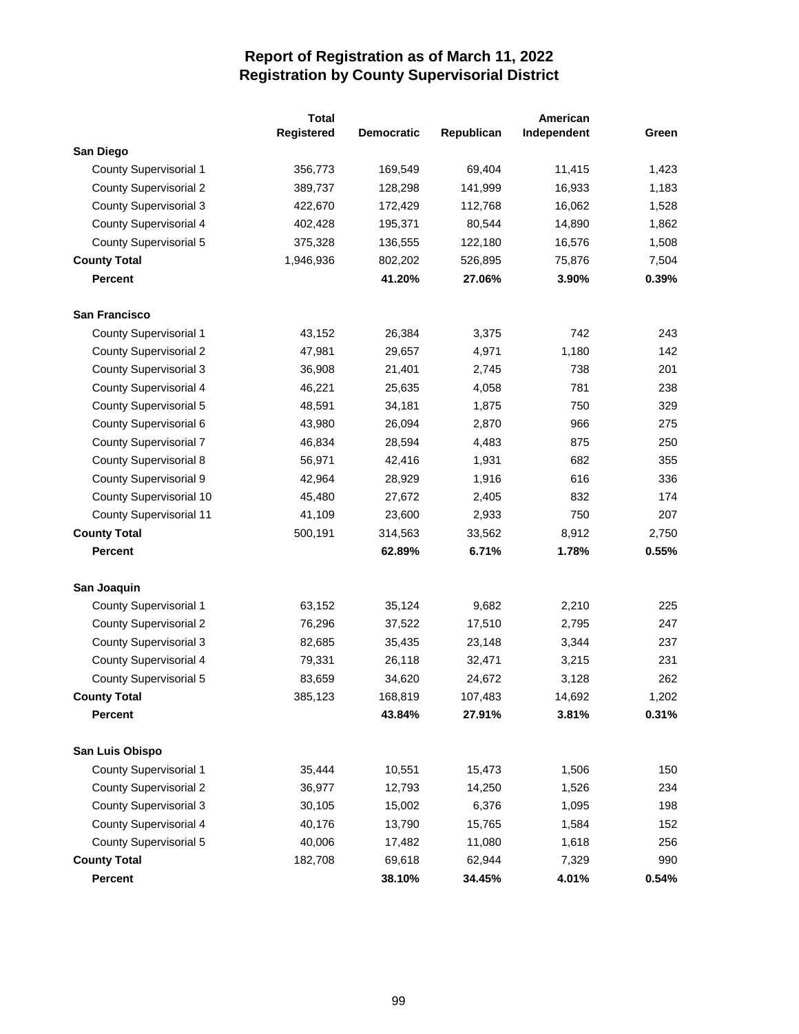|                               | <b>Total</b> |                   |            | American    |       |
|-------------------------------|--------------|-------------------|------------|-------------|-------|
|                               | Registered   | <b>Democratic</b> | Republican | Independent | Green |
| San Diego                     |              |                   |            |             |       |
| <b>County Supervisorial 1</b> | 356,773      | 169,549           | 69,404     | 11,415      | 1,423 |
| <b>County Supervisorial 2</b> | 389,737      | 128,298           | 141,999    | 16,933      | 1,183 |
| <b>County Supervisorial 3</b> | 422,670      | 172,429           | 112,768    | 16,062      | 1,528 |
| County Supervisorial 4        | 402,428      | 195,371           | 80,544     | 14,890      | 1,862 |
| County Supervisorial 5        | 375,328      | 136,555           | 122,180    | 16,576      | 1,508 |
| <b>County Total</b>           | 1,946,936    | 802,202           | 526,895    | 75,876      | 7,504 |
| <b>Percent</b>                |              | 41.20%            | 27.06%     | 3.90%       | 0.39% |
| <b>San Francisco</b>          |              |                   |            |             |       |
| <b>County Supervisorial 1</b> | 43,152       | 26,384            | 3,375      | 742         | 243   |
| <b>County Supervisorial 2</b> | 47,981       | 29,657            | 4,971      | 1,180       | 142   |
| <b>County Supervisorial 3</b> | 36,908       | 21,401            | 2,745      | 738         | 201   |
| <b>County Supervisorial 4</b> | 46,221       | 25,635            | 4,058      | 781         | 238   |
| <b>County Supervisorial 5</b> | 48,591       | 34,181            | 1,875      | 750         | 329   |
| County Supervisorial 6        | 43,980       | 26,094            | 2,870      | 966         | 275   |
| <b>County Supervisorial 7</b> | 46,834       | 28,594            | 4,483      | 875         | 250   |
| <b>County Supervisorial 8</b> | 56,971       | 42,416            | 1,931      | 682         | 355   |
| <b>County Supervisorial 9</b> | 42,964       | 28,929            | 1,916      | 616         | 336   |
| County Supervisorial 10       | 45,480       | 27,672            | 2,405      | 832         | 174   |
| County Supervisorial 11       | 41,109       | 23,600            | 2,933      | 750         | 207   |
| <b>County Total</b>           | 500,191      | 314,563           | 33,562     | 8,912       | 2,750 |
| <b>Percent</b>                |              | 62.89%            | 6.71%      | 1.78%       | 0.55% |
| San Joaquin                   |              |                   |            |             |       |
| County Supervisorial 1        | 63,152       | 35,124            | 9,682      | 2,210       | 225   |
| <b>County Supervisorial 2</b> | 76,296       | 37,522            | 17,510     | 2,795       | 247   |
| <b>County Supervisorial 3</b> | 82,685       | 35,435            | 23,148     | 3,344       | 237   |
| County Supervisorial 4        | 79,331       | 26,118            | 32,471     | 3,215       | 231   |
| <b>County Supervisorial 5</b> | 83,659       | 34,620            | 24,672     | 3,128       | 262   |
| <b>County Total</b>           | 385,123      | 168,819           | 107,483    | 14,692      | 1,202 |
| <b>Percent</b>                |              | 43.84%            | 27.91%     | 3.81%       | 0.31% |
| San Luis Obispo               |              |                   |            |             |       |
| <b>County Supervisorial 1</b> | 35,444       | 10,551            | 15,473     | 1,506       | 150   |
| <b>County Supervisorial 2</b> | 36,977       | 12,793            | 14,250     | 1,526       | 234   |
| <b>County Supervisorial 3</b> | 30,105       | 15,002            | 6,376      | 1,095       | 198   |
| County Supervisorial 4        | 40,176       | 13,790            | 15,765     | 1,584       | 152   |
| <b>County Supervisorial 5</b> | 40,006       | 17,482            | 11,080     | 1,618       | 256   |
| <b>County Total</b>           | 182,708      | 69,618            | 62,944     | 7,329       | 990   |
| Percent                       |              | 38.10%            | 34.45%     | 4.01%       | 0.54% |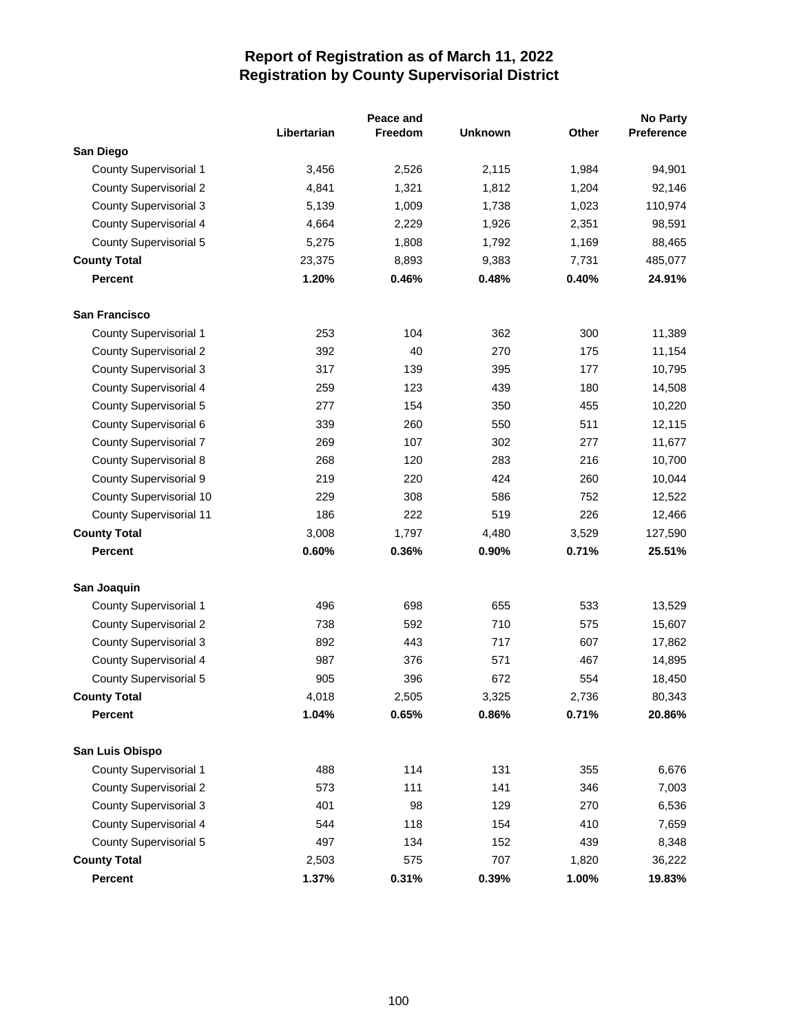|                                |             | Peace and |                |       | <b>No Party</b>   |
|--------------------------------|-------------|-----------|----------------|-------|-------------------|
|                                | Libertarian | Freedom   | <b>Unknown</b> | Other | <b>Preference</b> |
| San Diego                      |             |           |                |       |                   |
| <b>County Supervisorial 1</b>  | 3,456       | 2,526     | 2,115          | 1,984 | 94,901            |
| <b>County Supervisorial 2</b>  | 4,841       | 1,321     | 1,812          | 1,204 | 92,146            |
| <b>County Supervisorial 3</b>  | 5,139       | 1,009     | 1,738          | 1,023 | 110,974           |
| County Supervisorial 4         | 4,664       | 2,229     | 1,926          | 2,351 | 98,591            |
| <b>County Supervisorial 5</b>  | 5,275       | 1,808     | 1,792          | 1,169 | 88,465            |
| <b>County Total</b>            | 23,375      | 8,893     | 9,383          | 7,731 | 485,077           |
| <b>Percent</b>                 | 1.20%       | 0.46%     | 0.48%          | 0.40% | 24.91%            |
| <b>San Francisco</b>           |             |           |                |       |                   |
| <b>County Supervisorial 1</b>  | 253         | 104       | 362            | 300   | 11,389            |
| <b>County Supervisorial 2</b>  | 392         | 40        | 270            | 175   | 11,154            |
| <b>County Supervisorial 3</b>  | 317         | 139       | 395            | 177   | 10,795            |
| <b>County Supervisorial 4</b>  | 259         | 123       | 439            | 180   | 14,508            |
| <b>County Supervisorial 5</b>  | 277         | 154       | 350            | 455   | 10,220            |
| <b>County Supervisorial 6</b>  | 339         | 260       | 550            | 511   | 12,115            |
| <b>County Supervisorial 7</b>  | 269         | 107       | 302            | 277   | 11,677            |
| <b>County Supervisorial 8</b>  | 268         | 120       | 283            | 216   | 10,700            |
| <b>County Supervisorial 9</b>  | 219         | 220       | 424            | 260   | 10,044            |
| County Supervisorial 10        | 229         | 308       | 586            | 752   | 12,522            |
| <b>County Supervisorial 11</b> | 186         | 222       | 519            | 226   | 12,466            |
| <b>County Total</b>            | 3,008       | 1,797     | 4,480          | 3,529 | 127,590           |
| <b>Percent</b>                 | 0.60%       | 0.36%     | 0.90%          | 0.71% | 25.51%            |
| San Joaquin                    |             |           |                |       |                   |
| <b>County Supervisorial 1</b>  | 496         | 698       | 655            | 533   | 13,529            |
| <b>County Supervisorial 2</b>  | 738         | 592       | 710            | 575   | 15,607            |
| <b>County Supervisorial 3</b>  | 892         | 443       | 717            | 607   | 17,862            |
| <b>County Supervisorial 4</b>  | 987         | 376       | 571            | 467   | 14,895            |
| <b>County Supervisorial 5</b>  | 905         | 396       | 672            | 554   | 18,450            |
| <b>County Total</b>            | 4,018       | 2,505     | 3,325          | 2,736 | 80,343            |
| <b>Percent</b>                 | 1.04%       | 0.65%     | 0.86%          | 0.71% | 20.86%            |
| San Luis Obispo                |             |           |                |       |                   |
| <b>County Supervisorial 1</b>  | 488         | 114       | 131            | 355   | 6,676             |
| <b>County Supervisorial 2</b>  | 573         | 111       | 141            | 346   | 7,003             |
| <b>County Supervisorial 3</b>  | 401         | 98        | 129            | 270   | 6,536             |
| <b>County Supervisorial 4</b>  | 544         | 118       | 154            | 410   | 7,659             |
| <b>County Supervisorial 5</b>  | 497         | 134       | 152            | 439   | 8,348             |
| <b>County Total</b>            | 2,503       | 575       | 707            | 1,820 | 36,222            |
| Percent                        | 1.37%       | 0.31%     | 0.39%          | 1.00% | 19.83%            |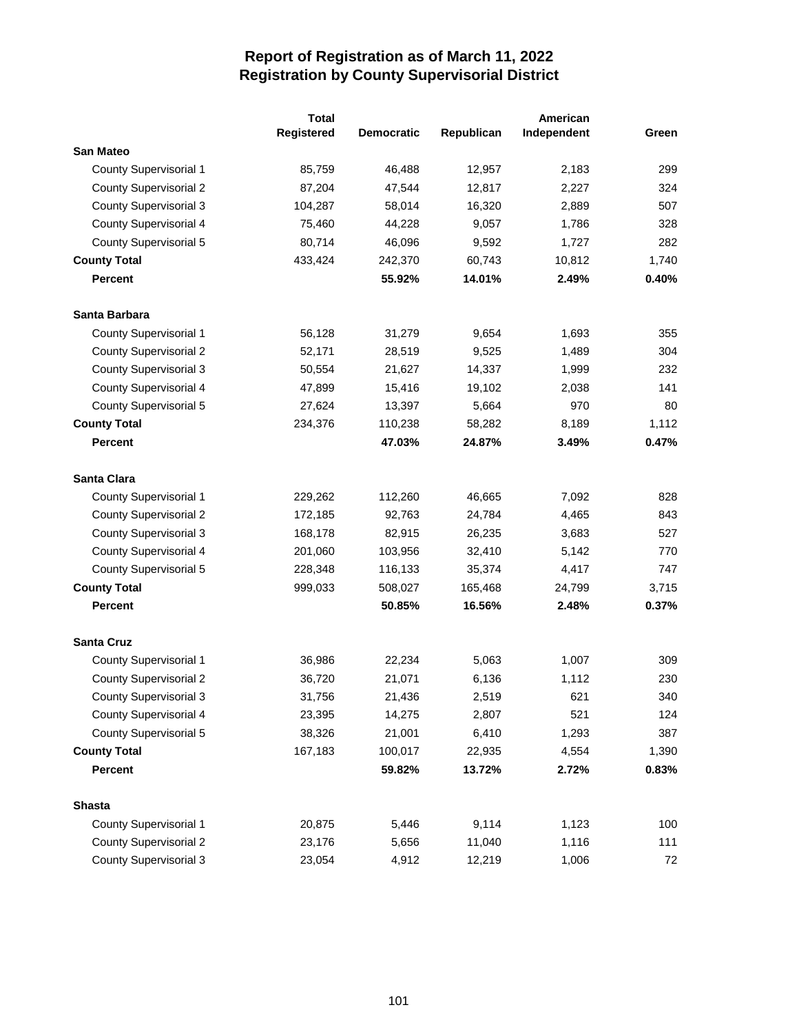|                               | <b>Total</b> |                   |            | American    |       |
|-------------------------------|--------------|-------------------|------------|-------------|-------|
|                               | Registered   | <b>Democratic</b> | Republican | Independent | Green |
| <b>San Mateo</b>              |              |                   |            |             |       |
| <b>County Supervisorial 1</b> | 85,759       | 46,488            | 12,957     | 2,183       | 299   |
| <b>County Supervisorial 2</b> | 87,204       | 47,544            | 12,817     | 2,227       | 324   |
| <b>County Supervisorial 3</b> | 104,287      | 58,014            | 16,320     | 2,889       | 507   |
| County Supervisorial 4        | 75,460       | 44,228            | 9,057      | 1,786       | 328   |
| <b>County Supervisorial 5</b> | 80,714       | 46,096            | 9,592      | 1,727       | 282   |
| <b>County Total</b>           | 433,424      | 242,370           | 60,743     | 10,812      | 1,740 |
| <b>Percent</b>                |              | 55.92%            | 14.01%     | 2.49%       | 0.40% |
| Santa Barbara                 |              |                   |            |             |       |
| County Supervisorial 1        | 56,128       | 31,279            | 9,654      | 1,693       | 355   |
| <b>County Supervisorial 2</b> | 52,171       | 28,519            | 9,525      | 1,489       | 304   |
| <b>County Supervisorial 3</b> | 50,554       | 21,627            | 14,337     | 1,999       | 232   |
| <b>County Supervisorial 4</b> | 47,899       | 15,416            | 19,102     | 2,038       | 141   |
| County Supervisorial 5        | 27,624       | 13,397            | 5,664      | 970         | 80    |
| <b>County Total</b>           | 234,376      | 110,238           | 58,282     | 8,189       | 1,112 |
| <b>Percent</b>                |              | 47.03%            | 24.87%     | 3.49%       | 0.47% |
| Santa Clara                   |              |                   |            |             |       |
| <b>County Supervisorial 1</b> | 229,262      | 112,260           | 46,665     | 7,092       | 828   |
| <b>County Supervisorial 2</b> | 172,185      | 92,763            | 24,784     | 4,465       | 843   |
| <b>County Supervisorial 3</b> | 168,178      | 82,915            | 26,235     | 3,683       | 527   |
| County Supervisorial 4        | 201,060      | 103,956           | 32,410     | 5,142       | 770   |
| County Supervisorial 5        | 228,348      | 116,133           | 35,374     | 4,417       | 747   |
| <b>County Total</b>           | 999,033      | 508,027           | 165,468    | 24,799      | 3,715 |
| Percent                       |              | 50.85%            | 16.56%     | 2.48%       | 0.37% |
| <b>Santa Cruz</b>             |              |                   |            |             |       |
| <b>County Supervisorial 1</b> | 36,986       | 22,234            | 5,063      | 1,007       | 309   |
| <b>County Supervisorial 2</b> | 36,720       | 21,071            | 6,136      | 1,112       | 230   |
| <b>County Supervisorial 3</b> | 31,756       | 21,436            | 2,519      | 621         | 340   |
| <b>County Supervisorial 4</b> | 23,395       | 14,275            | 2,807      | 521         | 124   |
| <b>County Supervisorial 5</b> | 38,326       | 21,001            | 6,410      | 1,293       | 387   |
| <b>County Total</b>           | 167,183      | 100,017           | 22,935     | 4,554       | 1,390 |
| <b>Percent</b>                |              | 59.82%            | 13.72%     | 2.72%       | 0.83% |
| <b>Shasta</b>                 |              |                   |            |             |       |
| County Supervisorial 1        | 20,875       | 5,446             | 9,114      | 1,123       | 100   |
| <b>County Supervisorial 2</b> | 23,176       | 5,656             | 11,040     | 1,116       | 111   |
| <b>County Supervisorial 3</b> | 23,054       | 4,912             | 12,219     | 1,006       | 72    |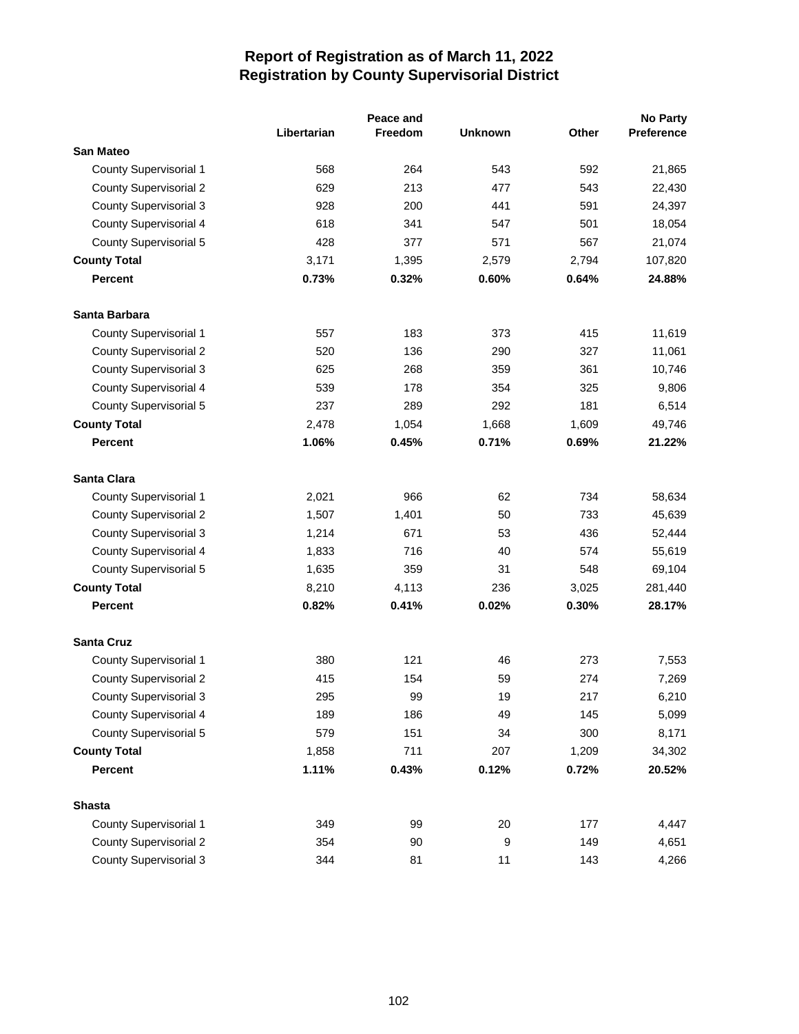|                               | Peace and   |                |                |       | No Party   |
|-------------------------------|-------------|----------------|----------------|-------|------------|
|                               | Libertarian | <b>Freedom</b> | <b>Unknown</b> | Other | Preference |
| <b>San Mateo</b>              |             |                |                |       |            |
| County Supervisorial 1        | 568         | 264            | 543            | 592   | 21,865     |
| <b>County Supervisorial 2</b> | 629         | 213            | 477            | 543   | 22,430     |
| <b>County Supervisorial 3</b> | 928         | 200            | 441            | 591   | 24,397     |
| <b>County Supervisorial 4</b> | 618         | 341            | 547            | 501   | 18,054     |
| <b>County Supervisorial 5</b> | 428         | 377            | 571            | 567   | 21,074     |
| <b>County Total</b>           | 3,171       | 1,395          | 2,579          | 2,794 | 107,820    |
| <b>Percent</b>                | 0.73%       | 0.32%          | 0.60%          | 0.64% | 24.88%     |
| Santa Barbara                 |             |                |                |       |            |
| County Supervisorial 1        | 557         | 183            | 373            | 415   | 11,619     |
| <b>County Supervisorial 2</b> | 520         | 136            | 290            | 327   | 11,061     |
| <b>County Supervisorial 3</b> | 625         | 268            | 359            | 361   | 10,746     |
| <b>County Supervisorial 4</b> | 539         | 178            | 354            | 325   | 9,806      |
| <b>County Supervisorial 5</b> | 237         | 289            | 292            | 181   | 6,514      |
| <b>County Total</b>           | 2,478       | 1,054          | 1,668          | 1,609 | 49,746     |
| <b>Percent</b>                | 1.06%       | 0.45%          | 0.71%          | 0.69% | 21.22%     |
| Santa Clara                   |             |                |                |       |            |
| County Supervisorial 1        | 2,021       | 966            | 62             | 734   | 58,634     |
| <b>County Supervisorial 2</b> | 1,507       | 1,401          | 50             | 733   | 45,639     |
| <b>County Supervisorial 3</b> | 1,214       | 671            | 53             | 436   | 52,444     |
| <b>County Supervisorial 4</b> | 1,833       | 716            | 40             | 574   | 55,619     |
| <b>County Supervisorial 5</b> | 1,635       | 359            | 31             | 548   | 69,104     |
| <b>County Total</b>           | 8,210       | 4,113          | 236            | 3,025 | 281,440    |
| <b>Percent</b>                | 0.82%       | 0.41%          | 0.02%          | 0.30% | 28.17%     |
| <b>Santa Cruz</b>             |             |                |                |       |            |
| <b>County Supervisorial 1</b> | 380         | 121            | 46             | 273   | 7,553      |
| <b>County Supervisorial 2</b> | 415         | 154            | 59             | 274   | 7,269      |
| <b>County Supervisorial 3</b> | 295         | 99             | 19             | 217   | 6,210      |
| <b>County Supervisorial 4</b> | 189         | 186            | 49             | 145   | 5,099      |
| <b>County Supervisorial 5</b> | 579         | 151            | 34             | 300   | 8,171      |
| <b>County Total</b>           | 1,858       | 711            | 207            | 1,209 | 34,302     |
| <b>Percent</b>                | 1.11%       | 0.43%          | 0.12%          | 0.72% | 20.52%     |
| <b>Shasta</b>                 |             |                |                |       |            |
| <b>County Supervisorial 1</b> | 349         | 99             | 20             | 177   | 4,447      |
| <b>County Supervisorial 2</b> | 354         | 90             | 9              | 149   | 4,651      |
| <b>County Supervisorial 3</b> | 344         | 81             | 11             | 143   | 4,266      |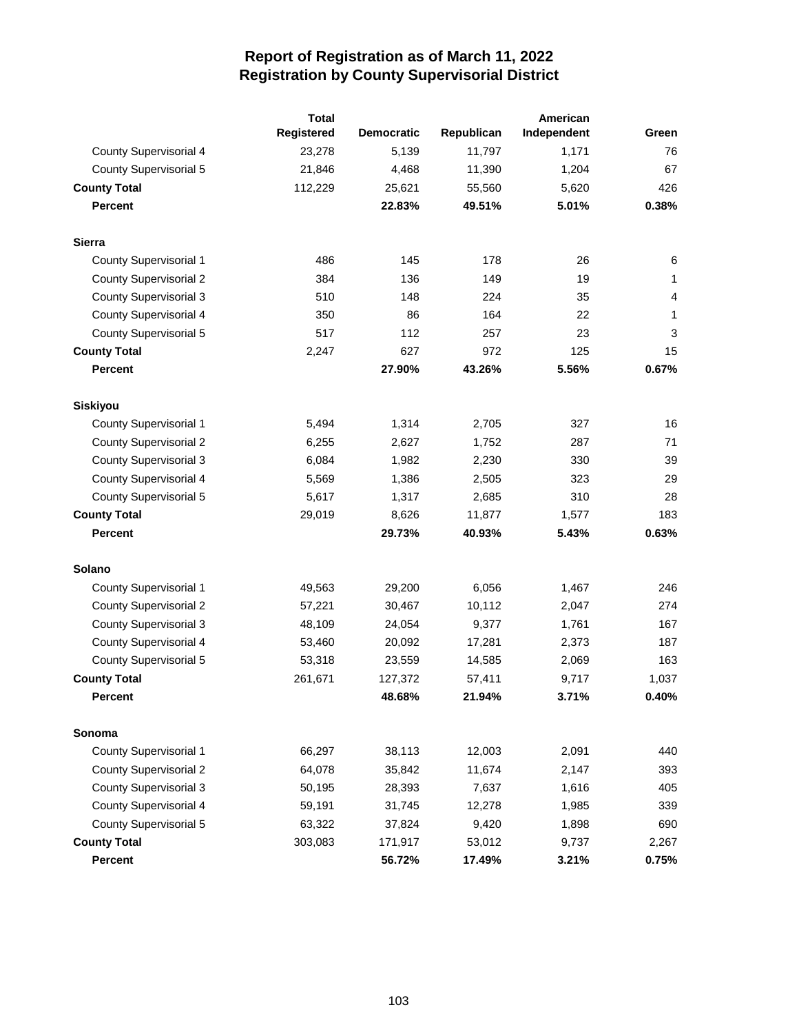|                               | <b>Total</b> |                   |            | American    |                |
|-------------------------------|--------------|-------------------|------------|-------------|----------------|
|                               | Registered   | <b>Democratic</b> | Republican | Independent | Green          |
| <b>County Supervisorial 4</b> | 23,278       | 5,139             | 11,797     | 1,171       | 76             |
| <b>County Supervisorial 5</b> | 21,846       | 4,468             | 11,390     | 1,204       | 67             |
| <b>County Total</b>           | 112,229      | 25,621            | 55,560     | 5,620       | 426            |
| <b>Percent</b>                |              | 22.83%            | 49.51%     | 5.01%       | 0.38%          |
| <b>Sierra</b>                 |              |                   |            |             |                |
| <b>County Supervisorial 1</b> | 486          | 145               | 178        | 26          | 6              |
| <b>County Supervisorial 2</b> | 384          | 136               | 149        | 19          | 1              |
| <b>County Supervisorial 3</b> | 510          | 148               | 224        | 35          | $\overline{4}$ |
| <b>County Supervisorial 4</b> | 350          | 86                | 164        | 22          | 1              |
| <b>County Supervisorial 5</b> | 517          | 112               | 257        | 23          | 3              |
| <b>County Total</b>           | 2,247        | 627               | 972        | 125         | 15             |
| <b>Percent</b>                |              | 27.90%            | 43.26%     | 5.56%       | 0.67%          |
| <b>Siskiyou</b>               |              |                   |            |             |                |
| <b>County Supervisorial 1</b> | 5,494        | 1,314             | 2,705      | 327         | 16             |
| <b>County Supervisorial 2</b> | 6,255        | 2,627             | 1,752      | 287         | 71             |
| <b>County Supervisorial 3</b> | 6,084        | 1,982             | 2,230      | 330         | 39             |
| <b>County Supervisorial 4</b> | 5,569        | 1,386             | 2,505      | 323         | 29             |
| <b>County Supervisorial 5</b> | 5,617        | 1,317             | 2,685      | 310         | 28             |
| <b>County Total</b>           | 29,019       | 8,626             | 11,877     | 1,577       | 183            |
| <b>Percent</b>                |              | 29.73%            | 40.93%     | 5.43%       | 0.63%          |
| <b>Solano</b>                 |              |                   |            |             |                |
| <b>County Supervisorial 1</b> | 49,563       | 29,200            | 6,056      | 1,467       | 246            |
| <b>County Supervisorial 2</b> | 57,221       | 30,467            | 10,112     | 2,047       | 274            |
| <b>County Supervisorial 3</b> | 48,109       | 24,054            | 9,377      | 1,761       | 167            |
| <b>County Supervisorial 4</b> | 53,460       | 20,092            | 17,281     | 2,373       | 187            |
| <b>County Supervisorial 5</b> | 53,318       | 23,559            | 14,585     | 2,069       | 163            |
| <b>County Total</b>           | 261,671      | 127,372           | 57,411     | 9,717       | 1,037          |
| Percent                       |              | 48.68%            | 21.94%     | 3.71%       | 0.40%          |
| Sonoma                        |              |                   |            |             |                |
| County Supervisorial 1        | 66,297       | 38,113            | 12,003     | 2,091       | 440            |
| <b>County Supervisorial 2</b> | 64,078       | 35,842            | 11,674     | 2,147       | 393            |
| <b>County Supervisorial 3</b> | 50,195       | 28,393            | 7,637      | 1,616       | 405            |
| <b>County Supervisorial 4</b> | 59,191       | 31,745            | 12,278     | 1,985       | 339            |
| County Supervisorial 5        | 63,322       | 37,824            | 9,420      | 1,898       | 690            |
| <b>County Total</b>           | 303,083      | 171,917           | 53,012     | 9,737       | 2,267          |
| <b>Percent</b>                |              | 56.72%            | 17.49%     | 3.21%       | 0.75%          |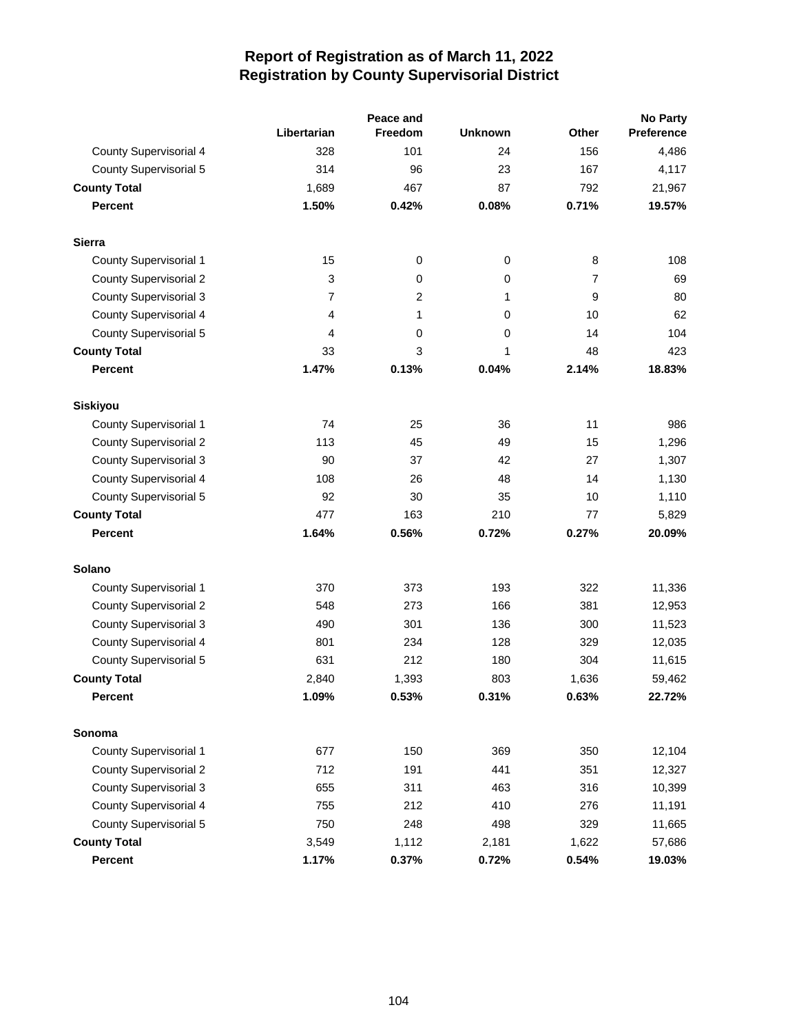|                               |                |                | <b>No Party</b> |       |                   |  |
|-------------------------------|----------------|----------------|-----------------|-------|-------------------|--|
|                               | Libertarian    | <b>Freedom</b> | <b>Unknown</b>  | Other | <b>Preference</b> |  |
| <b>County Supervisorial 4</b> | 328            | 101            | 24              | 156   | 4,486             |  |
| <b>County Supervisorial 5</b> | 314            | 96             | 23              | 167   | 4,117             |  |
| <b>County Total</b>           | 1.689          | 467            | 87              | 792   | 21,967            |  |
| <b>Percent</b>                | 1.50%          | 0.42%          | 0.08%           | 0.71% | 19.57%            |  |
| <b>Sierra</b>                 |                |                |                 |       |                   |  |
| County Supervisorial 1        | 15             | 0              | $\mathbf 0$     | 8     | 108               |  |
| <b>County Supervisorial 2</b> | 3              | 0              | 0               | 7     | 69                |  |
| <b>County Supervisorial 3</b> | $\overline{7}$ | 2              | 1               | 9     | 80                |  |
| County Supervisorial 4        | 4              | 1              | 0               | 10    | 62                |  |
| <b>County Supervisorial 5</b> | 4              | 0              | 0               | 14    | 104               |  |
| <b>County Total</b>           | 33             | 3              | 1               | 48    | 423               |  |
| <b>Percent</b>                | 1.47%          | 0.13%          | 0.04%           | 2.14% | 18.83%            |  |
| <b>Siskiyou</b>               |                |                |                 |       |                   |  |
| County Supervisorial 1        | 74             | 25             | 36              | 11    | 986               |  |
| <b>County Supervisorial 2</b> | 113            | 45             | 49              | 15    | 1,296             |  |
| <b>County Supervisorial 3</b> | 90             | 37             | 42              | 27    | 1,307             |  |
| County Supervisorial 4        | 108            | 26             | 48              | 14    | 1,130             |  |
| <b>County Supervisorial 5</b> | 92             | 30             | 35              | 10    | 1,110             |  |
| <b>County Total</b>           | 477            | 163            | 210             | 77    | 5,829             |  |
| <b>Percent</b>                | 1.64%          | 0.56%          | 0.72%           | 0.27% | 20.09%            |  |
| <b>Solano</b>                 |                |                |                 |       |                   |  |
| County Supervisorial 1        | 370            | 373            | 193             | 322   | 11,336            |  |
| <b>County Supervisorial 2</b> | 548            | 273            | 166             | 381   | 12,953            |  |
| <b>County Supervisorial 3</b> | 490            | 301            | 136             | 300   | 11,523            |  |
| County Supervisorial 4        | 801            | 234            | 128             | 329   | 12,035            |  |
| <b>County Supervisorial 5</b> | 631            | 212            | 180             | 304   | 11,615            |  |
| <b>County Total</b>           | 2,840          | 1,393          | 803             | 1,636 | 59,462            |  |
| Percent                       | 1.09%          | 0.53%          | 0.31%           | 0.63% | 22.72%            |  |
| Sonoma                        |                |                |                 |       |                   |  |
| <b>County Supervisorial 1</b> | 677            | 150            | 369             | 350   | 12,104            |  |
| <b>County Supervisorial 2</b> | 712            | 191            | 441             | 351   | 12,327            |  |
| <b>County Supervisorial 3</b> | 655            | 311            | 463             | 316   | 10,399            |  |
| County Supervisorial 4        | 755            | 212            | 410             | 276   | 11,191            |  |
| <b>County Supervisorial 5</b> | 750            | 248            | 498             | 329   | 11,665            |  |
| <b>County Total</b>           | 3,549          | 1,112          | 2,181           | 1,622 | 57,686            |  |
| <b>Percent</b>                | 1.17%          | 0.37%          | 0.72%           | 0.54% | 19.03%            |  |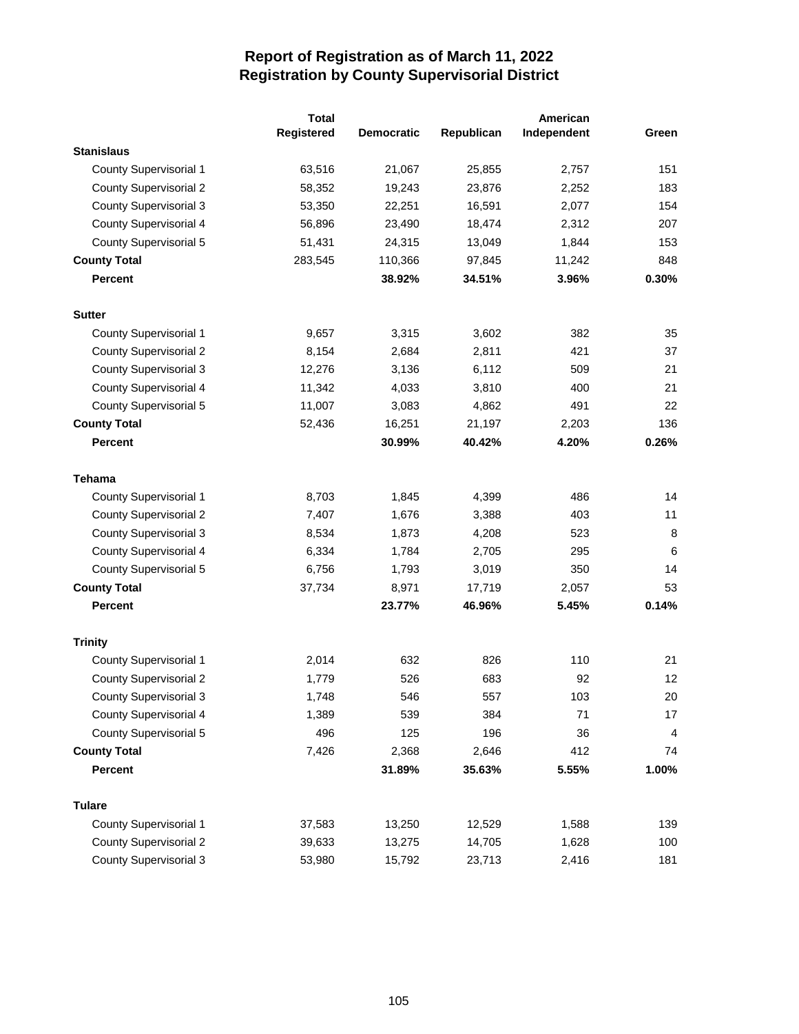|                               | <b>Total</b> |                   |            | American    |                |
|-------------------------------|--------------|-------------------|------------|-------------|----------------|
|                               | Registered   | <b>Democratic</b> | Republican | Independent | Green          |
| <b>Stanislaus</b>             |              |                   |            |             |                |
| <b>County Supervisorial 1</b> | 63,516       | 21,067            | 25,855     | 2,757       | 151            |
| <b>County Supervisorial 2</b> | 58,352       | 19,243            | 23,876     | 2,252       | 183            |
| <b>County Supervisorial 3</b> | 53,350       | 22,251            | 16,591     | 2,077       | 154            |
| County Supervisorial 4        | 56,896       | 23,490            | 18,474     | 2,312       | 207            |
| County Supervisorial 5        | 51,431       | 24,315            | 13,049     | 1,844       | 153            |
| <b>County Total</b>           | 283,545      | 110,366           | 97,845     | 11,242      | 848            |
| Percent                       |              | 38.92%            | 34.51%     | 3.96%       | 0.30%          |
| <b>Sutter</b>                 |              |                   |            |             |                |
| County Supervisorial 1        | 9,657        | 3,315             | 3,602      | 382         | 35             |
| <b>County Supervisorial 2</b> | 8,154        | 2,684             | 2,811      | 421         | 37             |
| <b>County Supervisorial 3</b> | 12,276       | 3,136             | 6,112      | 509         | 21             |
| County Supervisorial 4        | 11,342       | 4,033             | 3,810      | 400         | 21             |
| County Supervisorial 5        | 11,007       | 3,083             | 4,862      | 491         | 22             |
| <b>County Total</b>           | 52,436       | 16,251            | 21,197     | 2,203       | 136            |
| <b>Percent</b>                |              | 30.99%            | 40.42%     | 4.20%       | 0.26%          |
| <b>Tehama</b>                 |              |                   |            |             |                |
| <b>County Supervisorial 1</b> | 8,703        | 1,845             | 4,399      | 486         | 14             |
| <b>County Supervisorial 2</b> | 7,407        | 1,676             | 3,388      | 403         | 11             |
| County Supervisorial 3        | 8,534        | 1,873             | 4,208      | 523         | 8              |
| County Supervisorial 4        | 6,334        | 1,784             | 2,705      | 295         | 6              |
| County Supervisorial 5        | 6,756        | 1,793             | 3,019      | 350         | 14             |
| <b>County Total</b>           | 37,734       | 8,971             | 17,719     | 2,057       | 53             |
| Percent                       |              | 23.77%            | 46.96%     | 5.45%       | 0.14%          |
| <b>Trinity</b>                |              |                   |            |             |                |
| <b>County Supervisorial 1</b> | 2,014        | 632               | 826        | 110         | 21             |
| <b>County Supervisorial 2</b> | 1,779        | 526               | 683        | 92          | 12             |
| <b>County Supervisorial 3</b> | 1,748        | 546               | 557        | 103         | 20             |
| County Supervisorial 4        | 1,389        | 539               | 384        | 71          | 17             |
| <b>County Supervisorial 5</b> | 496          | 125               | 196        | 36          | $\overline{4}$ |
| <b>County Total</b>           | 7,426        | 2,368             | 2,646      | 412         | 74             |
| <b>Percent</b>                |              | 31.89%            | 35.63%     | 5.55%       | 1.00%          |
| <b>Tulare</b>                 |              |                   |            |             |                |
| County Supervisorial 1        | 37,583       | 13,250            | 12,529     | 1,588       | 139            |
| <b>County Supervisorial 2</b> | 39,633       | 13,275            | 14,705     | 1,628       | 100            |
| <b>County Supervisorial 3</b> | 53,980       | 15,792            | 23,713     | 2,416       | 181            |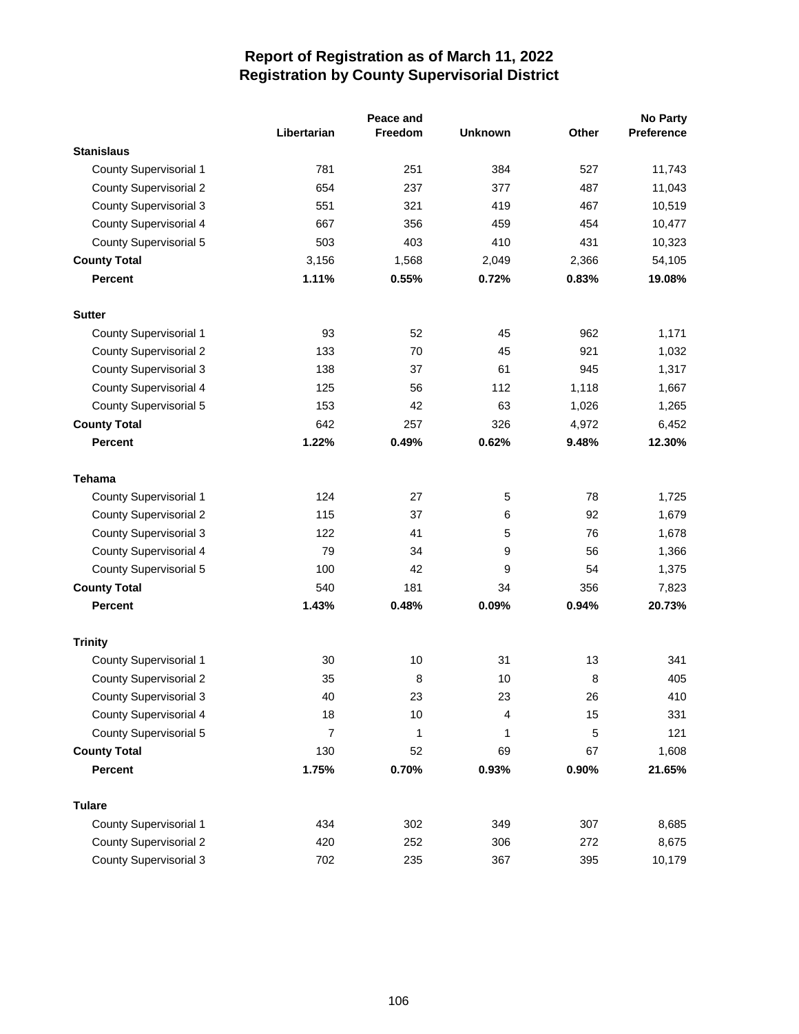|                               |                |                | Peace and      |       | <b>No Party</b> |
|-------------------------------|----------------|----------------|----------------|-------|-----------------|
|                               | Libertarian    | <b>Freedom</b> | <b>Unknown</b> | Other | Preference      |
| <b>Stanislaus</b>             |                |                |                |       |                 |
| County Supervisorial 1        | 781            | 251            | 384            | 527   | 11,743          |
| <b>County Supervisorial 2</b> | 654            | 237            | 377            | 487   | 11,043          |
| <b>County Supervisorial 3</b> | 551            | 321            | 419            | 467   | 10,519          |
| <b>County Supervisorial 4</b> | 667            | 356            | 459            | 454   | 10,477          |
| <b>County Supervisorial 5</b> | 503            | 403            | 410            | 431   | 10,323          |
| <b>County Total</b>           | 3,156          | 1,568          | 2,049          | 2,366 | 54,105          |
| <b>Percent</b>                | 1.11%          | 0.55%          | 0.72%          | 0.83% | 19.08%          |
| <b>Sutter</b>                 |                |                |                |       |                 |
| <b>County Supervisorial 1</b> | 93             | 52             | 45             | 962   | 1,171           |
| <b>County Supervisorial 2</b> | 133            | 70             | 45             | 921   | 1,032           |
| <b>County Supervisorial 3</b> | 138            | 37             | 61             | 945   | 1,317           |
| <b>County Supervisorial 4</b> | 125            | 56             | 112            | 1,118 | 1,667           |
| <b>County Supervisorial 5</b> | 153            | 42             | 63             | 1,026 | 1,265           |
| <b>County Total</b>           | 642            | 257            | 326            | 4,972 | 6,452           |
| <b>Percent</b>                | 1.22%          | 0.49%          | 0.62%          | 9.48% | 12.30%          |
| <b>Tehama</b>                 |                |                |                |       |                 |
| County Supervisorial 1        | 124            | 27             | 5              | 78    | 1,725           |
| <b>County Supervisorial 2</b> | 115            | 37             | 6              | 92    | 1,679           |
| <b>County Supervisorial 3</b> | 122            | 41             | 5              | 76    | 1,678           |
| <b>County Supervisorial 4</b> | 79             | 34             | 9              | 56    | 1,366           |
| <b>County Supervisorial 5</b> | 100            | 42             | 9              | 54    | 1,375           |
| <b>County Total</b>           | 540            | 181            | 34             | 356   | 7,823           |
| <b>Percent</b>                | 1.43%          | 0.48%          | 0.09%          | 0.94% | 20.73%          |
| <b>Trinity</b>                |                |                |                |       |                 |
| County Supervisorial 1        | 30             | 10             | 31             | 13    | 341             |
| <b>County Supervisorial 2</b> | 35             | 8              | 10             | 8     | 405             |
| <b>County Supervisorial 3</b> | 40             | 23             | 23             | 26    | 410             |
| <b>County Supervisorial 4</b> | 18             | 10             | 4              | 15    | 331             |
| <b>County Supervisorial 5</b> | $\overline{7}$ | 1              | 1              | 5     | 121             |
| <b>County Total</b>           | 130            | 52             | 69             | 67    | 1,608           |
| <b>Percent</b>                | 1.75%          | 0.70%          | 0.93%          | 0.90% | 21.65%          |
| <b>Tulare</b>                 |                |                |                |       |                 |
| <b>County Supervisorial 1</b> | 434            | 302            | 349            | 307   | 8,685           |
| <b>County Supervisorial 2</b> | 420            | 252            | 306            | 272   | 8,675           |
| <b>County Supervisorial 3</b> | 702            | 235            | 367            | 395   | 10,179          |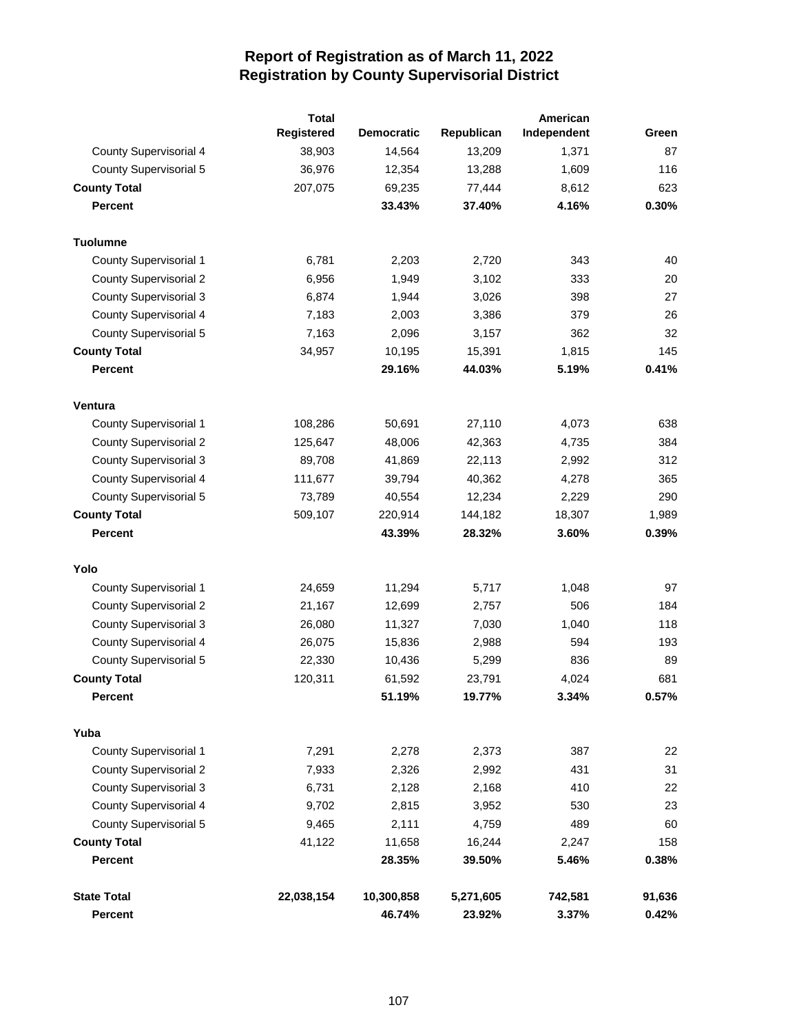|                               | <b>Total</b> |                   | American   |             |        |
|-------------------------------|--------------|-------------------|------------|-------------|--------|
|                               | Registered   | <b>Democratic</b> | Republican | Independent | Green  |
| <b>County Supervisorial 4</b> | 38,903       | 14,564            | 13,209     | 1,371       | 87     |
| <b>County Supervisorial 5</b> | 36,976       | 12,354            | 13,288     | 1,609       | 116    |
| <b>County Total</b>           | 207,075      | 69,235            | 77,444     | 8,612       | 623    |
| <b>Percent</b>                |              | 33.43%            | 37.40%     | 4.16%       | 0.30%  |
| <b>Tuolumne</b>               |              |                   |            |             |        |
| <b>County Supervisorial 1</b> | 6,781        | 2,203             | 2,720      | 343         | 40     |
| <b>County Supervisorial 2</b> | 6,956        | 1,949             | 3,102      | 333         | 20     |
| <b>County Supervisorial 3</b> | 6,874        | 1,944             | 3,026      | 398         | 27     |
| <b>County Supervisorial 4</b> | 7,183        | 2,003             | 3,386      | 379         | 26     |
| <b>County Supervisorial 5</b> | 7,163        | 2,096             | 3,157      | 362         | 32     |
| <b>County Total</b>           | 34,957       | 10,195            | 15,391     | 1,815       | 145    |
| <b>Percent</b>                |              | 29.16%            | 44.03%     | 5.19%       | 0.41%  |
| Ventura                       |              |                   |            |             |        |
| <b>County Supervisorial 1</b> | 108,286      | 50,691            | 27,110     | 4,073       | 638    |
| <b>County Supervisorial 2</b> | 125,647      | 48,006            | 42,363     | 4,735       | 384    |
| <b>County Supervisorial 3</b> | 89,708       | 41,869            | 22,113     | 2,992       | 312    |
| <b>County Supervisorial 4</b> | 111,677      | 39,794            | 40,362     | 4,278       | 365    |
| <b>County Supervisorial 5</b> | 73,789       | 40,554            | 12,234     | 2,229       | 290    |
| <b>County Total</b>           | 509,107      | 220,914           | 144,182    | 18,307      | 1,989  |
| <b>Percent</b>                |              | 43.39%            | 28.32%     | 3.60%       | 0.39%  |
| Yolo                          |              |                   |            |             |        |
| <b>County Supervisorial 1</b> | 24,659       | 11,294            | 5,717      | 1,048       | 97     |
| <b>County Supervisorial 2</b> | 21,167       | 12,699            | 2,757      | 506         | 184    |
| <b>County Supervisorial 3</b> | 26,080       | 11,327            | 7,030      | 1,040       | 118    |
| <b>County Supervisorial 4</b> | 26,075       | 15,836            | 2,988      | 594         | 193    |
| <b>County Supervisorial 5</b> | 22,330       | 10,436            | 5,299      | 836         | 89     |
| <b>County Total</b>           | 120,311      | 61,592            | 23,791     | 4,024       | 681    |
| Percent                       |              | 51.19%            | 19.77%     | 3.34%       | 0.57%  |
| Yuba                          |              |                   |            |             |        |
| <b>County Supervisorial 1</b> | 7,291        | 2,278             | 2,373      | 387         | 22     |
| <b>County Supervisorial 2</b> | 7,933        | 2,326             | 2,992      | 431         | 31     |
| <b>County Supervisorial 3</b> | 6,731        | 2,128             | 2,168      | 410         | 22     |
| <b>County Supervisorial 4</b> | 9,702        | 2,815             | 3,952      | 530         | 23     |
| <b>County Supervisorial 5</b> | 9,465        | 2,111             | 4,759      | 489         | 60     |
| <b>County Total</b>           | 41,122       | 11,658            | 16,244     | 2,247       | 158    |
| <b>Percent</b>                |              | 28.35%            | 39.50%     | 5.46%       | 0.38%  |
| <b>State Total</b>            | 22,038,154   | 10,300,858        | 5,271,605  | 742,581     | 91,636 |
| Percent                       |              | 46.74%            | 23.92%     | 3.37%       | 0.42%  |